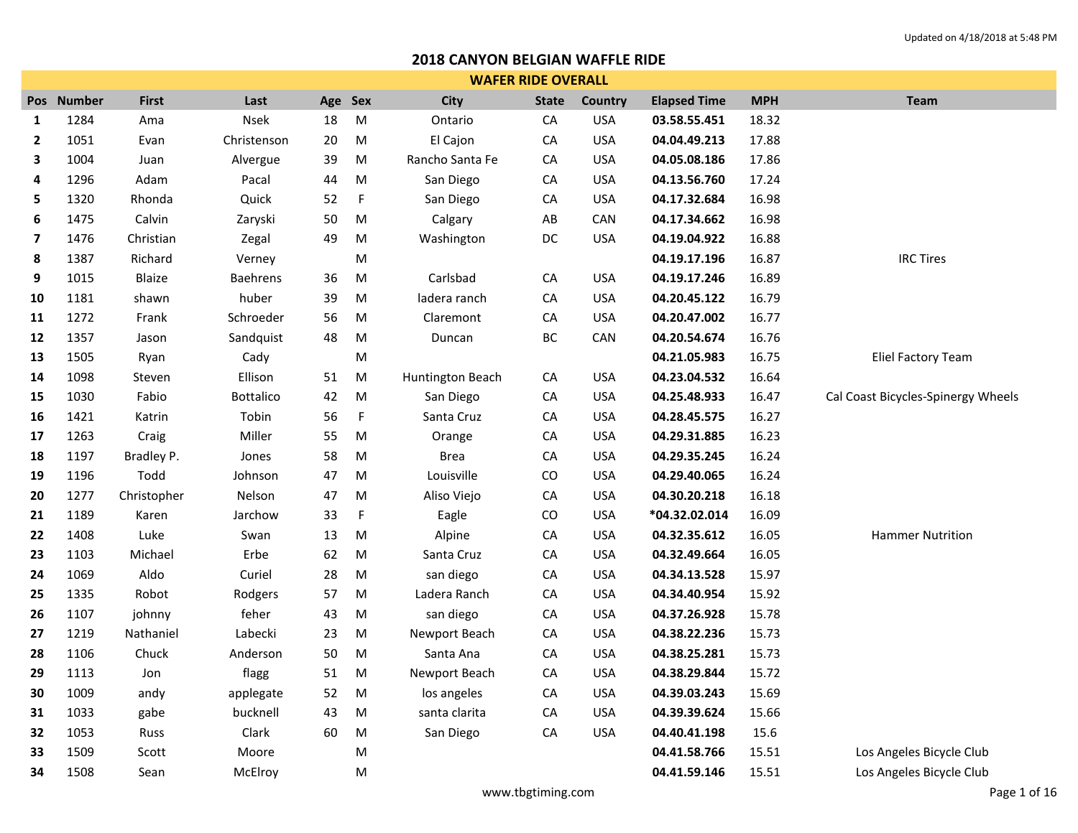|              | <b>WAFER RIDE OVERALL</b> |              |                  |         |             |                  |              |            |                     |            |                                    |  |  |  |
|--------------|---------------------------|--------------|------------------|---------|-------------|------------------|--------------|------------|---------------------|------------|------------------------------------|--|--|--|
|              | Pos Number                | <b>First</b> | Last             | Age Sex |             | <b>City</b>      | <b>State</b> | Country    | <b>Elapsed Time</b> | <b>MPH</b> | <b>Team</b>                        |  |  |  |
| $\mathbf{1}$ | 1284                      | Ama          | <b>Nsek</b>      | 18      | M           | Ontario          | CA           | <b>USA</b> | 03.58.55.451        | 18.32      |                                    |  |  |  |
| $\mathbf{2}$ | 1051                      | Evan         | Christenson      | $20\,$  | ${\sf M}$   | El Cajon         | ${\sf CA}$   | <b>USA</b> | 04.04.49.213        | 17.88      |                                    |  |  |  |
| 3            | 1004                      | Juan         | Alvergue         | 39      | ${\sf M}$   | Rancho Santa Fe  | CA           | <b>USA</b> | 04.05.08.186        | 17.86      |                                    |  |  |  |
| 4            | 1296                      | Adam         | Pacal            | 44      | ${\sf M}$   | San Diego        | ${\sf CA}$   | <b>USA</b> | 04.13.56.760        | 17.24      |                                    |  |  |  |
| 5            | 1320                      | Rhonda       | Quick            | 52      | F           | San Diego        | CA           | <b>USA</b> | 04.17.32.684        | 16.98      |                                    |  |  |  |
| 6            | 1475                      | Calvin       | Zaryski          | 50      | ${\sf M}$   | Calgary          | AB           | CAN        | 04.17.34.662        | 16.98      |                                    |  |  |  |
| 7            | 1476                      | Christian    | Zegal            | 49      | M           | Washington       | DC           | <b>USA</b> | 04.19.04.922        | 16.88      |                                    |  |  |  |
| 8            | 1387                      | Richard      | Verney           |         | ${\sf M}$   |                  |              |            | 04.19.17.196        | 16.87      | <b>IRC Tires</b>                   |  |  |  |
| 9            | 1015                      | Blaize       | <b>Baehrens</b>  | 36      | M           | Carlsbad         | CA           | <b>USA</b> | 04.19.17.246        | 16.89      |                                    |  |  |  |
| 10           | 1181                      | shawn        | huber            | 39      | ${\sf M}$   | ladera ranch     | CA           | <b>USA</b> | 04.20.45.122        | 16.79      |                                    |  |  |  |
| 11           | 1272                      | Frank        | Schroeder        | 56      | ${\sf M}$   | Claremont        | ${\sf CA}$   | <b>USA</b> | 04.20.47.002        | 16.77      |                                    |  |  |  |
| 12           | 1357                      | Jason        | Sandquist        | 48      | ${\sf M}$   | Duncan           | BC           | CAN        | 04.20.54.674        | 16.76      |                                    |  |  |  |
| 13           | 1505                      | Ryan         | Cady             |         | М           |                  |              |            | 04.21.05.983        | 16.75      | <b>Eliel Factory Team</b>          |  |  |  |
| 14           | 1098                      | Steven       | Ellison          | 51      | M           | Huntington Beach | ${\sf CA}$   | <b>USA</b> | 04.23.04.532        | 16.64      |                                    |  |  |  |
| 15           | 1030                      | Fabio        | <b>Bottalico</b> | 42      | ${\sf M}$   | San Diego        | CA           | <b>USA</b> | 04.25.48.933        | 16.47      | Cal Coast Bicycles-Spinergy Wheels |  |  |  |
| 16           | 1421                      | Katrin       | Tobin            | 56      | $\mathsf F$ | Santa Cruz       | ${\sf CA}$   | <b>USA</b> | 04.28.45.575        | 16.27      |                                    |  |  |  |
| 17           | 1263                      | Craig        | Miller           | 55      | ${\sf M}$   | Orange           | CA           | <b>USA</b> | 04.29.31.885        | 16.23      |                                    |  |  |  |
| 18           | 1197                      | Bradley P.   | Jones            | 58      | ${\sf M}$   | <b>Brea</b>      | CA           | <b>USA</b> | 04.29.35.245        | 16.24      |                                    |  |  |  |
| 19           | 1196                      | Todd         | Johnson          | 47      | ${\sf M}$   | Louisville       | CO           | <b>USA</b> | 04.29.40.065        | 16.24      |                                    |  |  |  |
| 20           | 1277                      | Christopher  | Nelson           | 47      | ${\sf M}$   | Aliso Viejo      | ${\sf CA}$   | <b>USA</b> | 04.30.20.218        | 16.18      |                                    |  |  |  |
| 21           | 1189                      | Karen        | Jarchow          | 33      | $\mathsf F$ | Eagle            | CO           | <b>USA</b> | *04.32.02.014       | 16.09      |                                    |  |  |  |
| 22           | 1408                      | Luke         | Swan             | 13      | M           | Alpine           | ${\sf CA}$   | <b>USA</b> | 04.32.35.612        | 16.05      | <b>Hammer Nutrition</b>            |  |  |  |
| 23           | 1103                      | Michael      | Erbe             | 62      | ${\sf M}$   | Santa Cruz       | CA           | <b>USA</b> | 04.32.49.664        | 16.05      |                                    |  |  |  |
| 24           | 1069                      | Aldo         | Curiel           | 28      | ${\sf M}$   | san diego        | ${\sf CA}$   | <b>USA</b> | 04.34.13.528        | 15.97      |                                    |  |  |  |
| 25           | 1335                      | Robot        | Rodgers          | 57      | M           | Ladera Ranch     | CA           | <b>USA</b> | 04.34.40.954        | 15.92      |                                    |  |  |  |
| 26           | 1107                      | johnny       | feher            | 43      | ${\sf M}$   | san diego        | ${\sf CA}$   | <b>USA</b> | 04.37.26.928        | 15.78      |                                    |  |  |  |
| 27           | 1219                      | Nathaniel    | Labecki          | 23      | ${\sf M}$   | Newport Beach    | CA           | <b>USA</b> | 04.38.22.236        | 15.73      |                                    |  |  |  |
| 28           | 1106                      | Chuck        | Anderson         | 50      | ${\sf M}$   | Santa Ana        | ${\sf CA}$   | <b>USA</b> | 04.38.25.281        | 15.73      |                                    |  |  |  |
| 29           | 1113                      | Jon          | flagg            | 51      | ${\sf M}$   | Newport Beach    | CA           | <b>USA</b> | 04.38.29.844        | 15.72      |                                    |  |  |  |
| 30           | 1009                      | andy         | applegate        | 52      | M           | los angeles      | ${\sf CA}$   | <b>USA</b> | 04.39.03.243        | 15.69      |                                    |  |  |  |
| 31           | 1033                      | gabe         | bucknell         | 43      | ${\sf M}$   | santa clarita    | CA           | <b>USA</b> | 04.39.39.624        | 15.66      |                                    |  |  |  |
| 32           | 1053                      | Russ         | Clark            | 60      | M           | San Diego        | CA           | <b>USA</b> | 04.40.41.198        | 15.6       |                                    |  |  |  |
| 33           | 1509                      | Scott        | Moore            |         | M           |                  |              |            | 04.41.58.766        | 15.51      | Los Angeles Bicycle Club           |  |  |  |
| 34           | 1508                      | Sean         | McElroy          |         | M           |                  |              |            | 04.41.59.146        | 15.51      | Los Angeles Bicycle Club           |  |  |  |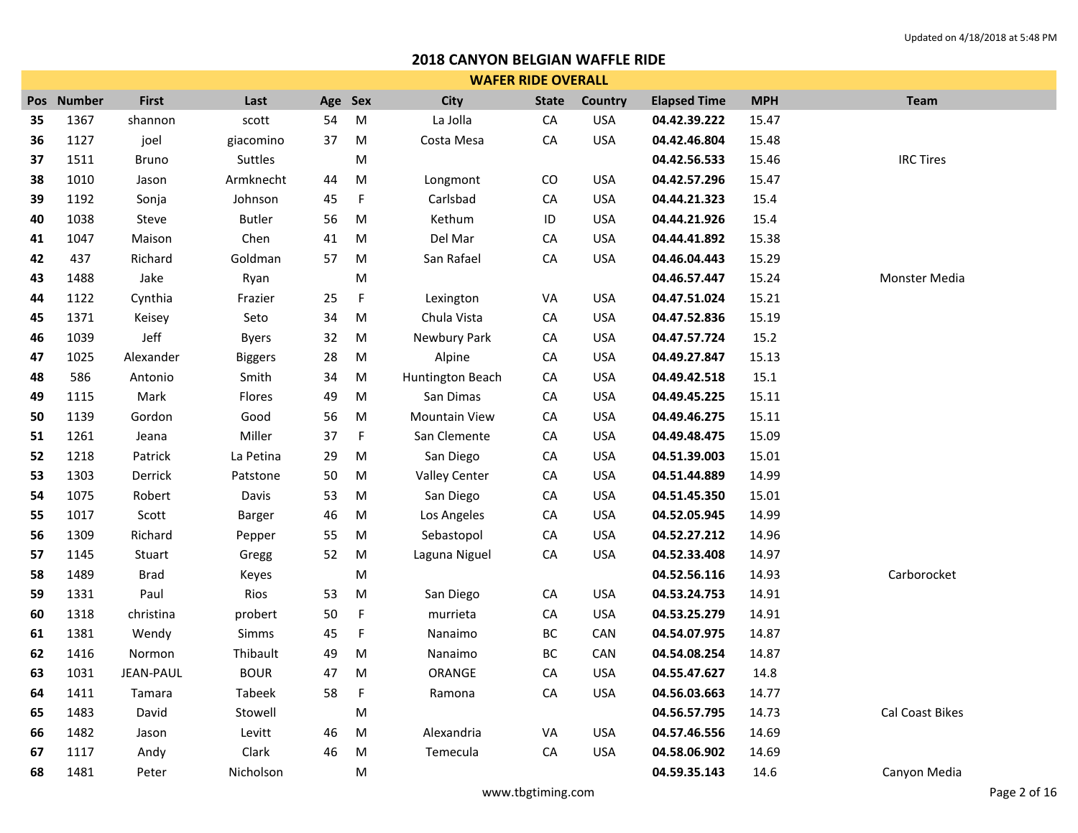|     | <b>WAFER RIDE OVERALL</b> |                  |                |     |             |                      |              |            |                     |            |                  |  |  |
|-----|---------------------------|------------------|----------------|-----|-------------|----------------------|--------------|------------|---------------------|------------|------------------|--|--|
| Pos | <b>Number</b>             | <b>First</b>     | Last           | Age | <b>Sex</b>  | <b>City</b>          | <b>State</b> | Country    | <b>Elapsed Time</b> | <b>MPH</b> | <b>Team</b>      |  |  |
| 35  | 1367                      | shannon          | scott          | 54  | M           | La Jolla             | CA           | <b>USA</b> | 04.42.39.222        | 15.47      |                  |  |  |
| 36  | 1127                      | joel             | giacomino      | 37  | M           | Costa Mesa           | ${\sf CA}$   | <b>USA</b> | 04.42.46.804        | 15.48      |                  |  |  |
| 37  | 1511                      | <b>Bruno</b>     | Suttles        |     | M           |                      |              |            | 04.42.56.533        | 15.46      | <b>IRC Tires</b> |  |  |
| 38  | 1010                      | Jason            | Armknecht      | 44  | M           | Longmont             | CO           | <b>USA</b> | 04.42.57.296        | 15.47      |                  |  |  |
| 39  | 1192                      | Sonja            | Johnson        | 45  | F           | Carlsbad             | ${\sf CA}$   | <b>USA</b> | 04.44.21.323        | 15.4       |                  |  |  |
| 40  | 1038                      | Steve            | <b>Butler</b>  | 56  | M           | Kethum               | ID           | <b>USA</b> | 04.44.21.926        | 15.4       |                  |  |  |
| 41  | 1047                      | Maison           | Chen           | 41  | M           | Del Mar              | CA           | <b>USA</b> | 04.44.41.892        | 15.38      |                  |  |  |
| 42  | 437                       | Richard          | Goldman        | 57  | M           | San Rafael           | ${\sf CA}$   | <b>USA</b> | 04.46.04.443        | 15.29      |                  |  |  |
| 43  | 1488                      | Jake             | Ryan           |     | M           |                      |              |            | 04.46.57.447        | 15.24      | Monster Media    |  |  |
| 44  | 1122                      | Cynthia          | Frazier        | 25  | F           | Lexington            | VA           | <b>USA</b> | 04.47.51.024        | 15.21      |                  |  |  |
| 45  | 1371                      | Keisey           | Seto           | 34  | M           | Chula Vista          | ${\sf CA}$   | <b>USA</b> | 04.47.52.836        | 15.19      |                  |  |  |
| 46  | 1039                      | Jeff             | <b>Byers</b>   | 32  | M           | Newbury Park         | ${\sf CA}$   | <b>USA</b> | 04.47.57.724        | 15.2       |                  |  |  |
| 47  | 1025                      | Alexander        | <b>Biggers</b> | 28  | M           | Alpine               | CA           | <b>USA</b> | 04.49.27.847        | 15.13      |                  |  |  |
| 48  | 586                       | Antonio          | Smith          | 34  | M           | Huntington Beach     | ${\sf CA}$   | <b>USA</b> | 04.49.42.518        | 15.1       |                  |  |  |
| 49  | 1115                      | Mark             | Flores         | 49  | M           | San Dimas            | CA           | <b>USA</b> | 04.49.45.225        | 15.11      |                  |  |  |
| 50  | 1139                      | Gordon           | Good           | 56  | M           | <b>Mountain View</b> | ${\sf CA}$   | <b>USA</b> | 04.49.46.275        | 15.11      |                  |  |  |
| 51  | 1261                      | Jeana            | Miller         | 37  | $\mathsf F$ | San Clemente         | ${\sf CA}$   | <b>USA</b> | 04.49.48.475        | 15.09      |                  |  |  |
| 52  | 1218                      | Patrick          | La Petina      | 29  | M           | San Diego            | ${\sf CA}$   | <b>USA</b> | 04.51.39.003        | 15.01      |                  |  |  |
| 53  | 1303                      | Derrick          | Patstone       | 50  | M           | <b>Valley Center</b> | ${\sf CA}$   | <b>USA</b> | 04.51.44.889        | 14.99      |                  |  |  |
| 54  | 1075                      | Robert           | Davis          | 53  | M           | San Diego            | ${\sf CA}$   | <b>USA</b> | 04.51.45.350        | 15.01      |                  |  |  |
| 55  | 1017                      | Scott            | Barger         | 46  | M           | Los Angeles          | CA           | <b>USA</b> | 04.52.05.945        | 14.99      |                  |  |  |
| 56  | 1309                      | Richard          | Pepper         | 55  | M           | Sebastopol           | ${\sf CA}$   | <b>USA</b> | 04.52.27.212        | 14.96      |                  |  |  |
| 57  | 1145                      | Stuart           | Gregg          | 52  | M           | Laguna Niguel        | ${\sf CA}$   | <b>USA</b> | 04.52.33.408        | 14.97      |                  |  |  |
| 58  | 1489                      | <b>Brad</b>      | Keyes          |     | M           |                      |              |            | 04.52.56.116        | 14.93      | Carborocket      |  |  |
| 59  | 1331                      | Paul             | Rios           | 53  | M           | San Diego            | ${\sf CA}$   | <b>USA</b> | 04.53.24.753        | 14.91      |                  |  |  |
| 60  | 1318                      | christina        | probert        | 50  | $\mathsf F$ | murrieta             | ${\sf CA}$   | <b>USA</b> | 04.53.25.279        | 14.91      |                  |  |  |
| 61  | 1381                      | Wendy            | Simms          | 45  | F           | Nanaimo              | ВC           | CAN        | 04.54.07.975        | 14.87      |                  |  |  |
| 62  | 1416                      | <b>Normon</b>    | Thibault       | 49  | M           | Nanaimo              | BC           | CAN        | 04.54.08.254        | 14.87      |                  |  |  |
| 63  | 1031                      | <b>JEAN-PAUL</b> | <b>BOUR</b>    | 47  | M           | ORANGE               | ${\sf CA}$   | <b>USA</b> | 04.55.47.627        | 14.8       |                  |  |  |
| 64  | 1411                      | Tamara           | Tabeek         | 58  | F.          | Ramona               | ${\sf CA}$   | <b>USA</b> | 04.56.03.663        | 14.77      |                  |  |  |
| 65  | 1483                      | David            | Stowell        |     | M           |                      |              |            | 04.56.57.795        | 14.73      | Cal Coast Bikes  |  |  |
| 66  | 1482                      | Jason            | Levitt         | 46  | M           | Alexandria           | VA           | <b>USA</b> | 04.57.46.556        | 14.69      |                  |  |  |
| 67  | 1117                      | Andy             | Clark          | 46  | M           | Temecula             | ${\sf CA}$   | <b>USA</b> | 04.58.06.902        | 14.69      |                  |  |  |
| 68  | 1481                      | Peter            | Nicholson      |     | M           |                      |              |            | 04.59.35.143        | 14.6       | Canyon Media     |  |  |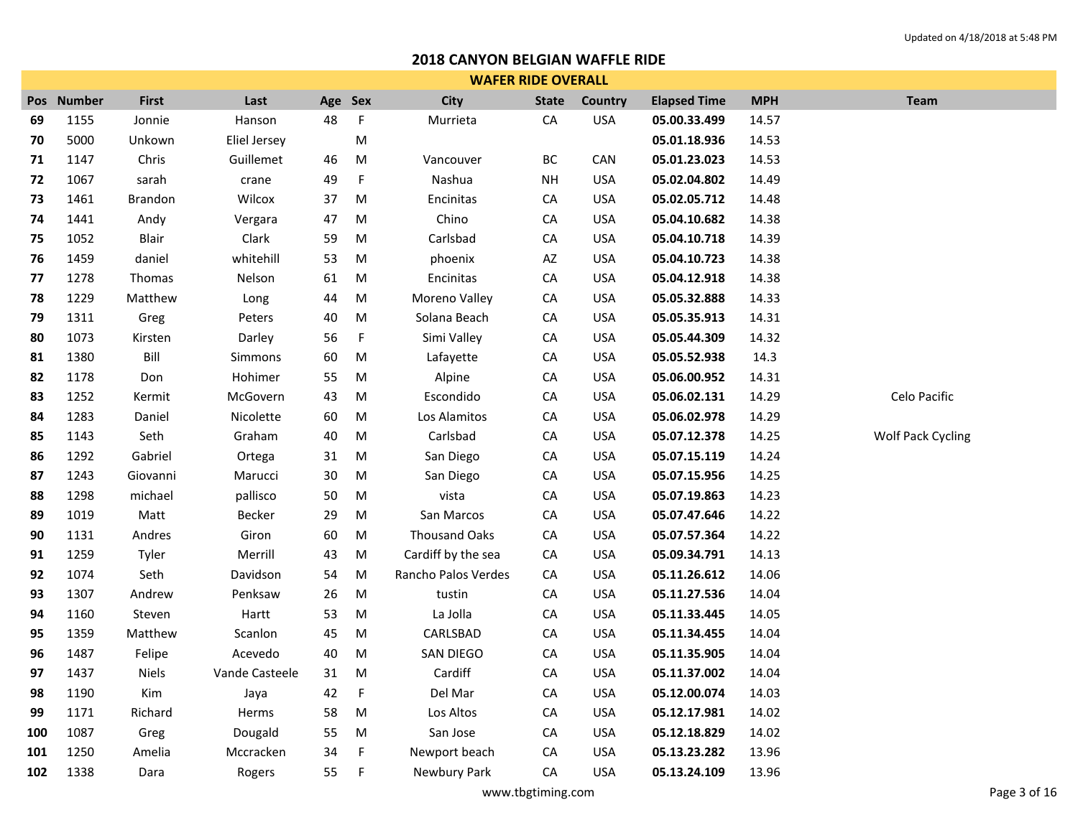|     | <b>WAFER RIDE OVERALL</b> |              |                |         |             |                      |                        |            |                     |            |                   |  |  |
|-----|---------------------------|--------------|----------------|---------|-------------|----------------------|------------------------|------------|---------------------|------------|-------------------|--|--|
| Pos | <b>Number</b>             | <b>First</b> | Last           | Age Sex |             | <b>City</b>          | <b>State</b>           | Country    | <b>Elapsed Time</b> | <b>MPH</b> | <b>Team</b>       |  |  |
| 69  | 1155                      | Jonnie       | Hanson         | 48      | F           | Murrieta             | CA                     | <b>USA</b> | 05.00.33.499        | 14.57      |                   |  |  |
| 70  | 5000                      | Unkown       | Eliel Jersey   |         | М           |                      |                        |            | 05.01.18.936        | 14.53      |                   |  |  |
| 71  | 1147                      | Chris        | Guillemet      | 46      | M           | Vancouver            | BC                     | CAN        | 05.01.23.023        | 14.53      |                   |  |  |
| 72  | 1067                      | sarah        | crane          | 49      | F           | Nashua               | <b>NH</b>              | <b>USA</b> | 05.02.04.802        | 14.49      |                   |  |  |
| 73  | 1461                      | Brandon      | Wilcox         | 37      | M           | Encinitas            | CA                     | <b>USA</b> | 05.02.05.712        | 14.48      |                   |  |  |
| 74  | 1441                      | Andy         | Vergara        | 47      | M           | Chino                | ${\sf CA}$             | <b>USA</b> | 05.04.10.682        | 14.38      |                   |  |  |
| 75  | 1052                      | Blair        | Clark          | 59      | M           | Carlsbad             | CA                     | <b>USA</b> | 05.04.10.718        | 14.39      |                   |  |  |
| 76  | 1459                      | daniel       | whitehill      | 53      | M           | phoenix              | $\mathsf{A}\mathsf{Z}$ | <b>USA</b> | 05.04.10.723        | 14.38      |                   |  |  |
| 77  | 1278                      | Thomas       | Nelson         | 61      | M           | Encinitas            | CA                     | <b>USA</b> | 05.04.12.918        | 14.38      |                   |  |  |
| 78  | 1229                      | Matthew      | Long           | 44      | M           | Moreno Valley        | CA                     | <b>USA</b> | 05.05.32.888        | 14.33      |                   |  |  |
| 79  | 1311                      | Greg         | Peters         | 40      | ${\sf M}$   | Solana Beach         | ${\sf CA}$             | <b>USA</b> | 05.05.35.913        | 14.31      |                   |  |  |
| 80  | 1073                      | Kirsten      | Darley         | 56      | F           | Simi Valley          | CA                     | <b>USA</b> | 05.05.44.309        | 14.32      |                   |  |  |
| 81  | 1380                      | Bill         | Simmons        | 60      | M           | Lafayette            | ${\sf CA}$             | <b>USA</b> | 05.05.52.938        | 14.3       |                   |  |  |
| 82  | 1178                      | Don          | Hohimer        | 55      | M           | Alpine               | ${\sf CA}$             | <b>USA</b> | 05.06.00.952        | 14.31      |                   |  |  |
| 83  | 1252                      | Kermit       | McGovern       | 43      | M           | Escondido            | ${\sf CA}$             | <b>USA</b> | 05.06.02.131        | 14.29      | Celo Pacific      |  |  |
| 84  | 1283                      | Daniel       | Nicolette      | 60      | M           | Los Alamitos         | ${\sf CA}$             | <b>USA</b> | 05.06.02.978        | 14.29      |                   |  |  |
| 85  | 1143                      | Seth         | Graham         | 40      | M           | Carlsbad             | ${\sf CA}$             | <b>USA</b> | 05.07.12.378        | 14.25      | Wolf Pack Cycling |  |  |
| 86  | 1292                      | Gabriel      | Ortega         | 31      | M           | San Diego            | ${\sf CA}$             | <b>USA</b> | 05.07.15.119        | 14.24      |                   |  |  |
| 87  | 1243                      | Giovanni     | Marucci        | $30\,$  | M           | San Diego            | CA                     | <b>USA</b> | 05.07.15.956        | 14.25      |                   |  |  |
| 88  | 1298                      | michael      | pallisco       | 50      | ${\sf M}$   | vista                | ${\sf CA}$             | <b>USA</b> | 05.07.19.863        | 14.23      |                   |  |  |
| 89  | 1019                      | Matt         | Becker         | 29      | M           | San Marcos           | CA                     | <b>USA</b> | 05.07.47.646        | 14.22      |                   |  |  |
| 90  | 1131                      | Andres       | Giron          | 60      | ${\sf M}$   | <b>Thousand Oaks</b> | ${\sf CA}$             | <b>USA</b> | 05.07.57.364        | 14.22      |                   |  |  |
| 91  | 1259                      | Tyler        | Merrill        | 43      | ${\sf M}$   | Cardiff by the sea   | ${\sf CA}$             | <b>USA</b> | 05.09.34.791        | 14.13      |                   |  |  |
| 92  | 1074                      | Seth         | Davidson       | 54      | M           | Rancho Palos Verdes  | CA                     | <b>USA</b> | 05.11.26.612        | 14.06      |                   |  |  |
| 93  | 1307                      | Andrew       | Penksaw        | 26      | ${\sf M}$   | tustin               | ${\sf CA}$             | <b>USA</b> | 05.11.27.536        | 14.04      |                   |  |  |
| 94  | 1160                      | Steven       | Hartt          | 53      | M           | La Jolla             | CA                     | <b>USA</b> | 05.11.33.445        | 14.05      |                   |  |  |
| 95  | 1359                      | Matthew      | Scanlon        | 45      | M           | CARLSBAD             | CA                     | <b>USA</b> | 05.11.34.455        | 14.04      |                   |  |  |
| 96  | 1487                      | Felipe       | Acevedo        | 40      | M           | SAN DIEGO            | ${\sf CA}$             | <b>USA</b> | 05.11.35.905        | 14.04      |                   |  |  |
| 97  | 1437                      | <b>Niels</b> | Vande Casteele | 31      | M           | Cardiff              | CA                     | <b>USA</b> | 05.11.37.002        | 14.04      |                   |  |  |
| 98  | 1190                      | Kim          | Jaya           | 42      | $\mathsf F$ | Del Mar              | ${\sf CA}$             | <b>USA</b> | 05.12.00.074        | 14.03      |                   |  |  |
| 99  | 1171                      | Richard      | Herms          | 58      | M           | Los Altos            | CA                     | <b>USA</b> | 05.12.17.981        | 14.02      |                   |  |  |
| 100 | 1087                      | Greg         | Dougald        | 55      | M           | San Jose             | CA                     | <b>USA</b> | 05.12.18.829        | 14.02      |                   |  |  |
| 101 | 1250                      | Amelia       | Mccracken      | 34      | F           | Newport beach        | CA                     | <b>USA</b> | 05.13.23.282        | 13.96      |                   |  |  |
| 102 | 1338                      | Dara         | Rogers         | 55      | F           | Newbury Park         | CA                     | <b>USA</b> | 05.13.24.109        | 13.96      |                   |  |  |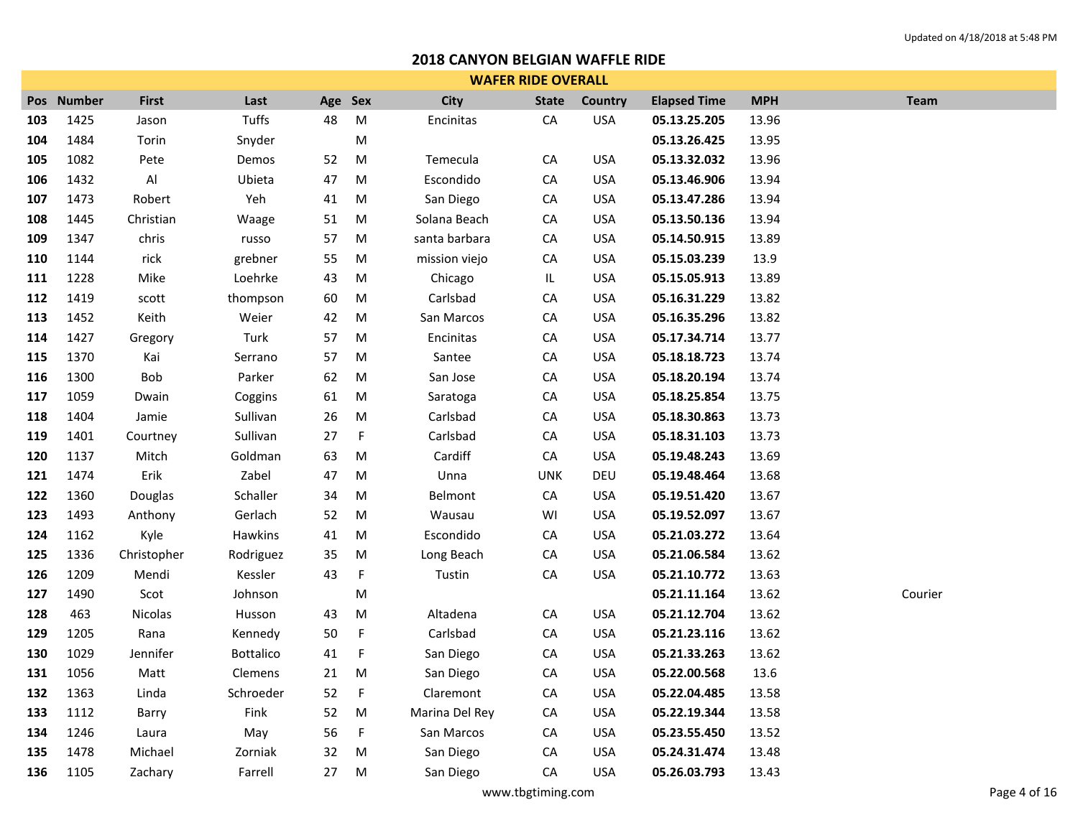|            | <b>WAFER RIDE OVERALL</b> |               |           |         |             |                |              |                |                     |            |             |  |  |
|------------|---------------------------|---------------|-----------|---------|-------------|----------------|--------------|----------------|---------------------|------------|-------------|--|--|
| <b>Pos</b> | <b>Number</b>             | <b>First</b>  | Last      | Age Sex |             | <b>City</b>    | <b>State</b> | <b>Country</b> | <b>Elapsed Time</b> | <b>MPH</b> | <b>Team</b> |  |  |
| 103        | 1425                      | Jason         | Tuffs     | 48      | ${\sf M}$   | Encinitas      | ${\sf CA}$   | <b>USA</b>     | 05.13.25.205        | 13.96      |             |  |  |
| 104        | 1484                      | Torin         | Snyder    |         | ${\sf M}$   |                |              |                | 05.13.26.425        | 13.95      |             |  |  |
| 105        | 1082                      | Pete          | Demos     | 52      | ${\sf M}$   | Temecula       | CA           | <b>USA</b>     | 05.13.32.032        | 13.96      |             |  |  |
| 106        | 1432                      | Al            | Ubieta    | 47      | ${\sf M}$   | Escondido      | CA           | <b>USA</b>     | 05.13.46.906        | 13.94      |             |  |  |
| 107        | 1473                      | Robert        | Yeh       | 41      | M           | San Diego      | CA           | <b>USA</b>     | 05.13.47.286        | 13.94      |             |  |  |
| 108        | 1445                      | Christian     | Waage     | 51      | M           | Solana Beach   | CA           | <b>USA</b>     | 05.13.50.136        | 13.94      |             |  |  |
| 109        | 1347                      | chris         | russo     | 57      | M           | santa barbara  | ${\sf CA}$   | <b>USA</b>     | 05.14.50.915        | 13.89      |             |  |  |
| 110        | 1144                      | rick          | grebner   | 55      | M           | mission viejo  | ${\sf CA}$   | <b>USA</b>     | 05.15.03.239        | 13.9       |             |  |  |
| 111        | 1228                      | Mike          | Loehrke   | 43      | ${\sf M}$   | Chicago        | IL.          | <b>USA</b>     | 05.15.05.913        | 13.89      |             |  |  |
| 112        | 1419                      | ${\sf scott}$ | thompson  | 60      | ${\sf M}$   | Carlsbad       | ${\sf CA}$   | <b>USA</b>     | 05.16.31.229        | 13.82      |             |  |  |
| 113        | 1452                      | Keith         | Weier     | 42      | ${\sf M}$   | San Marcos     | ${\sf CA}$   | <b>USA</b>     | 05.16.35.296        | 13.82      |             |  |  |
| 114        | 1427                      | Gregory       | Turk      | 57      | ${\sf M}$   | Encinitas      | ${\sf CA}$   | <b>USA</b>     | 05.17.34.714        | 13.77      |             |  |  |
| 115        | 1370                      | Kai           | Serrano   | 57      | ${\sf M}$   | Santee         | ${\sf CA}$   | <b>USA</b>     | 05.18.18.723        | 13.74      |             |  |  |
| 116        | 1300                      | Bob           | Parker    | 62      | ${\sf M}$   | San Jose       | ${\sf CA}$   | <b>USA</b>     | 05.18.20.194        | 13.74      |             |  |  |
| 117        | 1059                      | Dwain         | Coggins   | 61      | M           | Saratoga       | ${\sf CA}$   | <b>USA</b>     | 05.18.25.854        | 13.75      |             |  |  |
| 118        | 1404                      | Jamie         | Sullivan  | 26      | ${\sf M}$   | Carlsbad       | ${\sf CA}$   | <b>USA</b>     | 05.18.30.863        | 13.73      |             |  |  |
| 119        | 1401                      | Courtney      | Sullivan  | 27      | $\mathsf F$ | Carlsbad       | ${\sf CA}$   | <b>USA</b>     | 05.18.31.103        | 13.73      |             |  |  |
| 120        | 1137                      | Mitch         | Goldman   | 63      | M           | Cardiff        | ${\sf CA}$   | <b>USA</b>     | 05.19.48.243        | 13.69      |             |  |  |
| 121        | 1474                      | Erik          | Zabel     | 47      | M           | Unna           | <b>UNK</b>   | DEU            | 05.19.48.464        | 13.68      |             |  |  |
| 122        | 1360                      | Douglas       | Schaller  | 34      | M           | Belmont        | ${\sf CA}$   | <b>USA</b>     | 05.19.51.420        | 13.67      |             |  |  |
| 123        | 1493                      | Anthony       | Gerlach   | 52      | ${\sf M}$   | Wausau         | WI           | <b>USA</b>     | 05.19.52.097        | 13.67      |             |  |  |
| 124        | 1162                      | Kyle          | Hawkins   | 41      | ${\sf M}$   | Escondido      | CA           | <b>USA</b>     | 05.21.03.272        | 13.64      |             |  |  |
| 125        | 1336                      | Christopher   | Rodriguez | 35      | ${\sf M}$   | Long Beach     | ${\sf CA}$   | <b>USA</b>     | 05.21.06.584        | 13.62      |             |  |  |
| 126        | 1209                      | Mendi         | Kessler   | 43      | F           | Tustin         | ${\sf CA}$   | <b>USA</b>     | 05.21.10.772        | 13.63      |             |  |  |
| 127        | 1490                      | Scot          | Johnson   |         | ${\sf M}$   |                |              |                | 05.21.11.164        | 13.62      | Courier     |  |  |
| 128        | 463                       | Nicolas       | Husson    | 43      | M           | Altadena       | ${\sf CA}$   | <b>USA</b>     | 05.21.12.704        | 13.62      |             |  |  |
| 129        | 1205                      | Rana          | Kennedy   | 50      | $\mathsf F$ | Carlsbad       | ${\sf CA}$   | <b>USA</b>     | 05.21.23.116        | 13.62      |             |  |  |
| 130        | 1029                      | Jennifer      | Bottalico | 41      | F           | San Diego      | CA           | <b>USA</b>     | 05.21.33.263        | 13.62      |             |  |  |
| 131        | 1056                      | Matt          | Clemens   | 21      | M           | San Diego      | ${\sf CA}$   | <b>USA</b>     | 05.22.00.568        | 13.6       |             |  |  |
| 132        | 1363                      | Linda         | Schroeder | 52      | F           | Claremont      | CA           | <b>USA</b>     | 05.22.04.485        | 13.58      |             |  |  |
| 133        | 1112                      | Barry         | Fink      | 52      | M           | Marina Del Rey | CA           | <b>USA</b>     | 05.22.19.344        | 13.58      |             |  |  |
| 134        | 1246                      | Laura         | May       | 56      | F           | San Marcos     | СA           | <b>USA</b>     | 05.23.55.450        | 13.52      |             |  |  |
| 135        | 1478                      | Michael       | Zorniak   | 32      | M           | San Diego      | CA           | <b>USA</b>     | 05.24.31.474        | 13.48      |             |  |  |
| 136        | 1105                      | Zachary       | Farrell   | 27      | M           | San Diego      | CA           | <b>USA</b>     | 05.26.03.793        | 13.43      |             |  |  |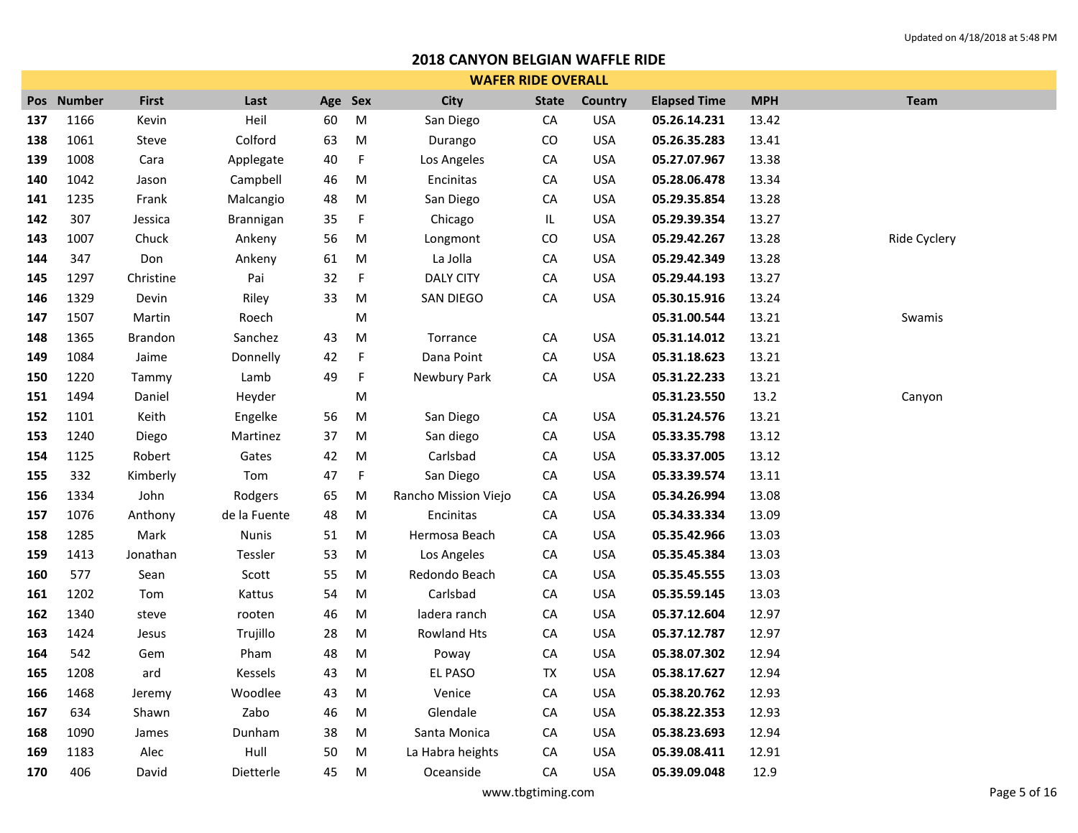|     | <b>WAFER RIDE OVERALL</b> |                |              |         |             |                      |              |            |                     |            |              |  |  |
|-----|---------------------------|----------------|--------------|---------|-------------|----------------------|--------------|------------|---------------------|------------|--------------|--|--|
|     | Pos Number                | <b>First</b>   | Last         | Age Sex |             | <b>City</b>          | <b>State</b> | Country    | <b>Elapsed Time</b> | <b>MPH</b> | <b>Team</b>  |  |  |
| 137 | 1166                      | Kevin          | Heil         | 60      | ${\sf M}$   | San Diego            | CA           | <b>USA</b> | 05.26.14.231        | 13.42      |              |  |  |
| 138 | 1061                      | Steve          | Colford      | 63      | ${\sf M}$   | Durango              | ${\rm CO}$   | <b>USA</b> | 05.26.35.283        | 13.41      |              |  |  |
| 139 | 1008                      | Cara           | Applegate    | 40      | F           | Los Angeles          | CA           | <b>USA</b> | 05.27.07.967        | 13.38      |              |  |  |
| 140 | 1042                      | Jason          | Campbell     | 46      | ${\sf M}$   | Encinitas            | CA           | <b>USA</b> | 05.28.06.478        | 13.34      |              |  |  |
| 141 | 1235                      | Frank          | Malcangio    | 48      | M           | San Diego            | CA           | <b>USA</b> | 05.29.35.854        | 13.28      |              |  |  |
| 142 | 307                       | Jessica        | Brannigan    | 35      | F           | Chicago              | IL           | <b>USA</b> | 05.29.39.354        | 13.27      |              |  |  |
| 143 | 1007                      | Chuck          | Ankeny       | 56      | ${\sf M}$   | Longmont             | ${\rm CO}$   | <b>USA</b> | 05.29.42.267        | 13.28      | Ride Cyclery |  |  |
| 144 | 347                       | Don            | Ankeny       | 61      | M           | La Jolla             | CA           | <b>USA</b> | 05.29.42.349        | 13.28      |              |  |  |
| 145 | 1297                      | Christine      | Pai          | 32      | $\mathsf F$ | <b>DALY CITY</b>     | CA           | <b>USA</b> | 05.29.44.193        | 13.27      |              |  |  |
| 146 | 1329                      | Devin          | Riley        | 33      | ${\sf M}$   | SAN DIEGO            | ${\sf CA}$   | <b>USA</b> | 05.30.15.916        | 13.24      |              |  |  |
| 147 | 1507                      | Martin         | Roech        |         | ${\sf M}$   |                      |              |            | 05.31.00.544        | 13.21      | Swamis       |  |  |
| 148 | 1365                      | <b>Brandon</b> | Sanchez      | 43      | ${\sf M}$   | Torrance             | ${\sf CA}$   | <b>USA</b> | 05.31.14.012        | 13.21      |              |  |  |
| 149 | 1084                      | Jaime          | Donnelly     | 42      | F           | Dana Point           | ${\sf CA}$   | <b>USA</b> | 05.31.18.623        | 13.21      |              |  |  |
| 150 | 1220                      | Tammy          | Lamb         | 49      | F           | Newbury Park         | CA           | <b>USA</b> | 05.31.22.233        | 13.21      |              |  |  |
| 151 | 1494                      | Daniel         | Heyder       |         | M           |                      |              |            | 05.31.23.550        | 13.2       | Canyon       |  |  |
| 152 | 1101                      | Keith          | Engelke      | 56      | ${\sf M}$   | San Diego            | ${\sf CA}$   | <b>USA</b> | 05.31.24.576        | 13.21      |              |  |  |
| 153 | 1240                      | Diego          | Martinez     | 37      | ${\sf M}$   | San diego            | CA           | <b>USA</b> | 05.33.35.798        | 13.12      |              |  |  |
| 154 | 1125                      | Robert         | Gates        | 42      | M           | Carlsbad             | ${\sf CA}$   | <b>USA</b> | 05.33.37.005        | 13.12      |              |  |  |
| 155 | 332                       | Kimberly       | Tom          | 47      | $\mathsf F$ | San Diego            | CA           | <b>USA</b> | 05.33.39.574        | 13.11      |              |  |  |
| 156 | 1334                      | John           | Rodgers      | 65      | M           | Rancho Mission Viejo | ${\sf CA}$   | <b>USA</b> | 05.34.26.994        | 13.08      |              |  |  |
| 157 | 1076                      | Anthony        | de la Fuente | 48      | ${\sf M}$   | Encinitas            | ${\sf CA}$   | <b>USA</b> | 05.34.33.334        | 13.09      |              |  |  |
| 158 | 1285                      | Mark           | Nunis        | 51      | ${\sf M}$   | Hermosa Beach        | CA           | <b>USA</b> | 05.35.42.966        | 13.03      |              |  |  |
| 159 | 1413                      | Jonathan       | Tessler      | 53      | ${\sf M}$   | Los Angeles          | ${\sf CA}$   | <b>USA</b> | 05.35.45.384        | 13.03      |              |  |  |
| 160 | 577                       | Sean           | Scott        | 55      | ${\sf M}$   | Redondo Beach        | CA           | <b>USA</b> | 05.35.45.555        | 13.03      |              |  |  |
| 161 | 1202                      | Tom            | Kattus       | 54      | ${\sf M}$   | Carlsbad             | ${\sf CA}$   | <b>USA</b> | 05.35.59.145        | 13.03      |              |  |  |
| 162 | 1340                      | steve          | rooten       | 46      | M           | ladera ranch         | CA           | <b>USA</b> | 05.37.12.604        | 12.97      |              |  |  |
| 163 | 1424                      | Jesus          | Trujillo     | 28      | M           | Rowland Hts          | CA           | <b>USA</b> | 05.37.12.787        | 12.97      |              |  |  |
| 164 | 542                       | Gem            | Pham         | 48      | M           | Poway                | CA           | <b>USA</b> | 05.38.07.302        | 12.94      |              |  |  |
| 165 | 1208                      | ard            | Kessels      | 43      | ${\sf M}$   | EL PASO              | TX           | <b>USA</b> | 05.38.17.627        | 12.94      |              |  |  |
| 166 | 1468                      | Jeremy         | Woodlee      | 43      | M           | Venice               | CA           | <b>USA</b> | 05.38.20.762        | 12.93      |              |  |  |
| 167 | 634                       | Shawn          | Zabo         | 46      | M           | Glendale             | CA           | <b>USA</b> | 05.38.22.353        | 12.93      |              |  |  |
| 168 | 1090                      | James          | Dunham       | 38      | M           | Santa Monica         | CA           | <b>USA</b> | 05.38.23.693        | 12.94      |              |  |  |
| 169 | 1183                      | Alec           | Hull         | 50      | M           | La Habra heights     | CA           | <b>USA</b> | 05.39.08.411        | 12.91      |              |  |  |
| 170 | 406                       | David          | Dietterle    | 45      | M           | Oceanside            | CA           | <b>USA</b> | 05.39.09.048        | 12.9       |              |  |  |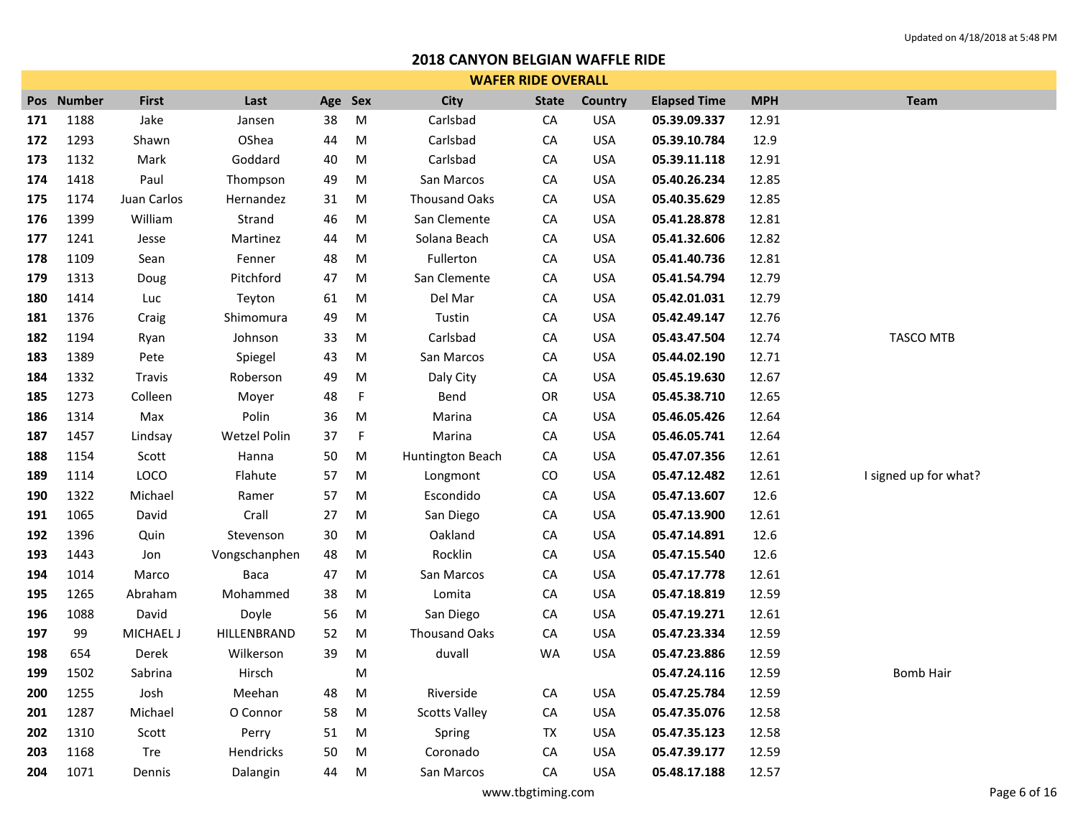|     | <b>WAFER RIDE OVERALL</b> |              |               |         |             |                      |              |                |                     |            |                       |  |  |
|-----|---------------------------|--------------|---------------|---------|-------------|----------------------|--------------|----------------|---------------------|------------|-----------------------|--|--|
|     | Pos Number                | <b>First</b> | Last          | Age Sex |             | <b>City</b>          | <b>State</b> | <b>Country</b> | <b>Elapsed Time</b> | <b>MPH</b> | <b>Team</b>           |  |  |
| 171 | 1188                      | Jake         | Jansen        | 38      | M           | Carlsbad             | CA           | <b>USA</b>     | 05.39.09.337        | 12.91      |                       |  |  |
| 172 | 1293                      | Shawn        | OShea         | 44      | M           | Carlsbad             | CA           | <b>USA</b>     | 05.39.10.784        | 12.9       |                       |  |  |
| 173 | 1132                      | Mark         | Goddard       | 40      | M           | Carlsbad             | СA           | <b>USA</b>     | 05.39.11.118        | 12.91      |                       |  |  |
| 174 | 1418                      | Paul         | Thompson      | 49      | M           | San Marcos           | CA           | <b>USA</b>     | 05.40.26.234        | 12.85      |                       |  |  |
| 175 | 1174                      | Juan Carlos  | Hernandez     | 31      | M           | <b>Thousand Oaks</b> | CA           | <b>USA</b>     | 05.40.35.629        | 12.85      |                       |  |  |
| 176 | 1399                      | William      | Strand        | 46      | M           | San Clemente         | CA           | <b>USA</b>     | 05.41.28.878        | 12.81      |                       |  |  |
| 177 | 1241                      | Jesse        | Martinez      | 44      | M           | Solana Beach         | CA           | <b>USA</b>     | 05.41.32.606        | 12.82      |                       |  |  |
| 178 | 1109                      | Sean         | Fenner        | 48      | M           | Fullerton            | СA           | <b>USA</b>     | 05.41.40.736        | 12.81      |                       |  |  |
| 179 | 1313                      | Doug         | Pitchford     | 47      | M           | San Clemente         | CA           | <b>USA</b>     | 05.41.54.794        | 12.79      |                       |  |  |
| 180 | 1414                      | Luc          | Teyton        | 61      | M           | Del Mar              | CA           | <b>USA</b>     | 05.42.01.031        | 12.79      |                       |  |  |
| 181 | 1376                      | Craig        | Shimomura     | 49      | M           | Tustin               | CA           | <b>USA</b>     | 05.42.49.147        | 12.76      |                       |  |  |
| 182 | 1194                      | Ryan         | Johnson       | 33      | M           | Carlsbad             | CA           | <b>USA</b>     | 05.43.47.504        | 12.74      | <b>TASCO MTB</b>      |  |  |
| 183 | 1389                      | Pete         | Spiegel       | 43      | M           | San Marcos           | CA           | <b>USA</b>     | 05.44.02.190        | 12.71      |                       |  |  |
| 184 | 1332                      | Travis       | Roberson      | 49      | M           | Daly City            | ${\sf CA}$   | <b>USA</b>     | 05.45.19.630        | 12.67      |                       |  |  |
| 185 | 1273                      | Colleen      | Moyer         | 48      | $\mathsf F$ | Bend                 | OR           | <b>USA</b>     | 05.45.38.710        | 12.65      |                       |  |  |
| 186 | 1314                      | Max          | Polin         | 36      | M           | Marina               | CA           | <b>USA</b>     | 05.46.05.426        | 12.64      |                       |  |  |
| 187 | 1457                      | Lindsay      | Wetzel Polin  | 37      | $\mathsf F$ | Marina               | CA           | <b>USA</b>     | 05.46.05.741        | 12.64      |                       |  |  |
| 188 | 1154                      | Scott        | Hanna         | 50      | M           | Huntington Beach     | CA           | <b>USA</b>     | 05.47.07.356        | 12.61      |                       |  |  |
| 189 | 1114                      | LOCO         | Flahute       | 57      | M           | Longmont             | CO           | <b>USA</b>     | 05.47.12.482        | 12.61      | I signed up for what? |  |  |
| 190 | 1322                      | Michael      | Ramer         | 57      | M           | Escondido            | ${\sf CA}$   | <b>USA</b>     | 05.47.13.607        | 12.6       |                       |  |  |
| 191 | 1065                      | David        | Crall         | 27      | M           | San Diego            | CA           | <b>USA</b>     | 05.47.13.900        | 12.61      |                       |  |  |
| 192 | 1396                      | Quin         | Stevenson     | 30      | M           | Oakland              | CA           | <b>USA</b>     | 05.47.14.891        | 12.6       |                       |  |  |
| 193 | 1443                      | Jon          | Vongschanphen | 48      | M           | Rocklin              | CA           | <b>USA</b>     | 05.47.15.540        | 12.6       |                       |  |  |
| 194 | 1014                      | Marco        | Baca          | 47      | M           | San Marcos           | CA           | <b>USA</b>     | 05.47.17.778        | 12.61      |                       |  |  |
| 195 | 1265                      | Abraham      | Mohammed      | 38      | M           | Lomita               | CA           | <b>USA</b>     | 05.47.18.819        | 12.59      |                       |  |  |
| 196 | 1088                      | David        | Doyle         | 56      | M           | San Diego            | СA           | <b>USA</b>     | 05.47.19.271        | 12.61      |                       |  |  |
| 197 | 99                        | MICHAEL J    | HILLENBRAND   | 52      | M           | <b>Thousand Oaks</b> | ${\sf CA}$   | <b>USA</b>     | 05.47.23.334        | 12.59      |                       |  |  |
| 198 | 654                       | Derek        | Wilkerson     | 39      | M           | duvall               | <b>WA</b>    | <b>USA</b>     | 05.47.23.886        | 12.59      |                       |  |  |
| 199 | 1502                      | Sabrina      | Hirsch        |         | M           |                      |              |                | 05.47.24.116        | 12.59      | Bomb Hair             |  |  |
| 200 | 1255                      | Josh         | Meehan        | 48      | M           | Riverside            | CA           | <b>USA</b>     | 05.47.25.784        | 12.59      |                       |  |  |
| 201 | 1287                      | Michael      | O Connor      | 58      | M           | <b>Scotts Valley</b> | CA           | <b>USA</b>     | 05.47.35.076        | 12.58      |                       |  |  |
| 202 | 1310                      | Scott        | Perry         | 51      | M           | Spring               | TX           | <b>USA</b>     | 05.47.35.123        | 12.58      |                       |  |  |
| 203 | 1168                      | Tre          | Hendricks     | 50      | M           | Coronado             | CA           | <b>USA</b>     | 05.47.39.177        | 12.59      |                       |  |  |
| 204 | 1071                      | Dennis       | Dalangin      | 44      | M           | San Marcos           | CA           | <b>USA</b>     | 05.48.17.188        | 12.57      |                       |  |  |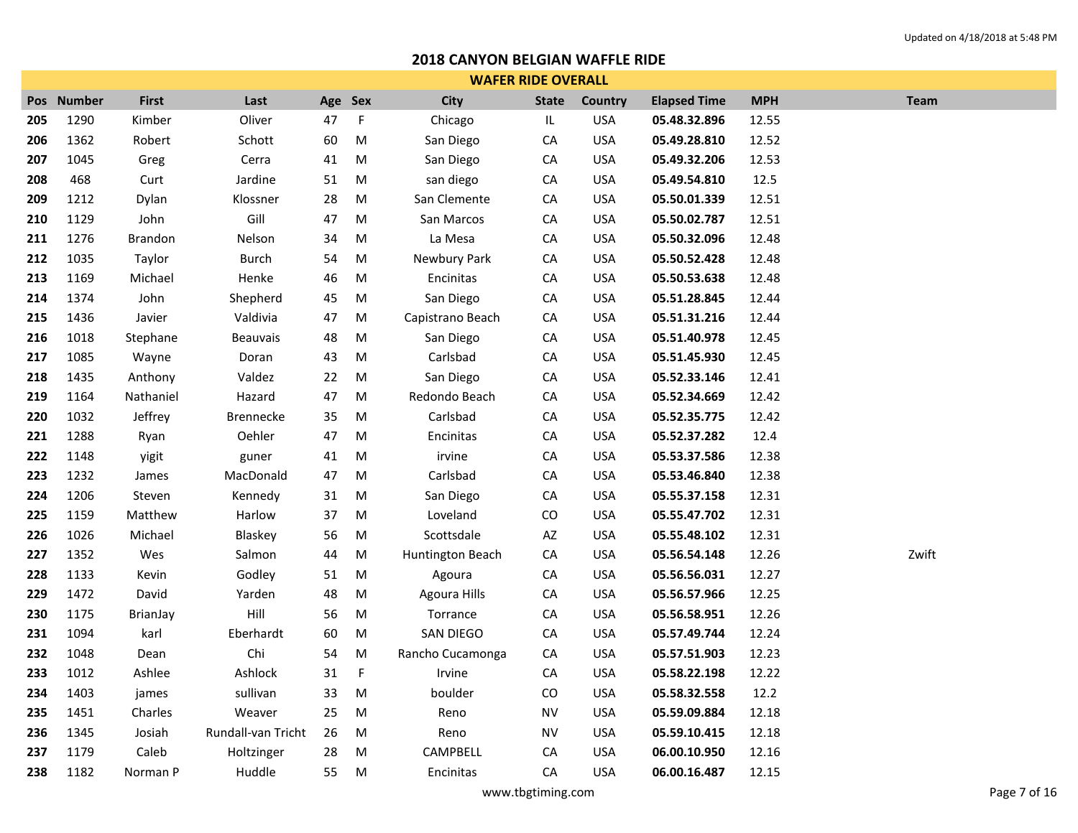|     | <b>WAFER RIDE OVERALL</b> |                |                    |         |             |                  |              |            |                     |            |             |  |  |
|-----|---------------------------|----------------|--------------------|---------|-------------|------------------|--------------|------------|---------------------|------------|-------------|--|--|
|     | Pos Number                | <b>First</b>   | Last               | Age Sex |             | <b>City</b>      | <b>State</b> | Country    | <b>Elapsed Time</b> | <b>MPH</b> | <b>Team</b> |  |  |
| 205 | 1290                      | Kimber         | Oliver             | 47      | F           | Chicago          | IL           | <b>USA</b> | 05.48.32.896        | 12.55      |             |  |  |
| 206 | 1362                      | Robert         | Schott             | 60      | M           | San Diego        | CA           | <b>USA</b> | 05.49.28.810        | 12.52      |             |  |  |
| 207 | 1045                      | Greg           | Cerra              | 41      | M           | San Diego        | CA           | <b>USA</b> | 05.49.32.206        | 12.53      |             |  |  |
| 208 | 468                       | Curt           | Jardine            | 51      | M           | san diego        | CA           | <b>USA</b> | 05.49.54.810        | 12.5       |             |  |  |
| 209 | 1212                      | Dylan          | Klossner           | 28      | M           | San Clemente     | ${\sf CA}$   | <b>USA</b> | 05.50.01.339        | 12.51      |             |  |  |
| 210 | 1129                      | John           | Gill               | 47      | M           | San Marcos       | CA           | <b>USA</b> | 05.50.02.787        | 12.51      |             |  |  |
| 211 | 1276                      | <b>Brandon</b> | Nelson             | 34      | M           | La Mesa          | CA           | <b>USA</b> | 05.50.32.096        | 12.48      |             |  |  |
| 212 | 1035                      | Taylor         | <b>Burch</b>       | 54      | M           | Newbury Park     | CA           | <b>USA</b> | 05.50.52.428        | 12.48      |             |  |  |
| 213 | 1169                      | Michael        | Henke              | 46      | M           | Encinitas        | CA           | <b>USA</b> | 05.50.53.638        | 12.48      |             |  |  |
| 214 | 1374                      | John           | Shepherd           | 45      | M           | San Diego        | CA           | <b>USA</b> | 05.51.28.845        | 12.44      |             |  |  |
| 215 | 1436                      | Javier         | Valdivia           | 47      | M           | Capistrano Beach | CA           | <b>USA</b> | 05.51.31.216        | 12.44      |             |  |  |
| 216 | 1018                      | Stephane       | Beauvais           | 48      | M           | San Diego        | CA           | <b>USA</b> | 05.51.40.978        | 12.45      |             |  |  |
| 217 | 1085                      | Wayne          | Doran              | 43      | M           | Carlsbad         | CA           | <b>USA</b> | 05.51.45.930        | 12.45      |             |  |  |
| 218 | 1435                      | Anthony        | Valdez             | 22      | M           | San Diego        | CA           | <b>USA</b> | 05.52.33.146        | 12.41      |             |  |  |
| 219 | 1164                      | Nathaniel      | Hazard             | 47      | M           | Redondo Beach    | CA           | <b>USA</b> | 05.52.34.669        | 12.42      |             |  |  |
| 220 | 1032                      | Jeffrey        | <b>Brennecke</b>   | 35      | M           | Carlsbad         | CA           | <b>USA</b> | 05.52.35.775        | 12.42      |             |  |  |
| 221 | 1288                      | Ryan           | Oehler             | 47      | M           | Encinitas        | CA           | <b>USA</b> | 05.52.37.282        | 12.4       |             |  |  |
| 222 | 1148                      | yigit          | guner              | 41      | M           | irvine           | CA           | <b>USA</b> | 05.53.37.586        | 12.38      |             |  |  |
| 223 | 1232                      | James          | MacDonald          | 47      | M           | Carlsbad         | CA           | <b>USA</b> | 05.53.46.840        | 12.38      |             |  |  |
| 224 | 1206                      | Steven         | Kennedy            | 31      | M           | San Diego        | CA           | <b>USA</b> | 05.55.37.158        | 12.31      |             |  |  |
| 225 | 1159                      | Matthew        | Harlow             | 37      | M           | Loveland         | CO           | <b>USA</b> | 05.55.47.702        | 12.31      |             |  |  |
| 226 | 1026                      | Michael        | Blaskey            | 56      | M           | Scottsdale       | AZ           | <b>USA</b> | 05.55.48.102        | 12.31      |             |  |  |
| 227 | 1352                      | Wes            | Salmon             | 44      | M           | Huntington Beach | CA           | <b>USA</b> | 05.56.54.148        | 12.26      | Zwift       |  |  |
| 228 | 1133                      | Kevin          | Godley             | 51      | M           | Agoura           | CA           | <b>USA</b> | 05.56.56.031        | 12.27      |             |  |  |
| 229 | 1472                      | David          | Yarden             | 48      | M           | Agoura Hills     | CA           | <b>USA</b> | 05.56.57.966        | 12.25      |             |  |  |
| 230 | 1175                      | BrianJay       | Hill               | 56      | M           | Torrance         | CA           | <b>USA</b> | 05.56.58.951        | 12.26      |             |  |  |
| 231 | 1094                      | karl           | Eberhardt          | 60      | M           | SAN DIEGO        | CA           | <b>USA</b> | 05.57.49.744        | 12.24      |             |  |  |
| 232 | 1048                      | Dean           | Chi                | 54      | M           | Rancho Cucamonga | CA           | <b>USA</b> | 05.57.51.903        | 12.23      |             |  |  |
| 233 | 1012                      | Ashlee         | Ashlock            | 31      | $\mathsf F$ | Irvine           | CA           | <b>USA</b> | 05.58.22.198        | 12.22      |             |  |  |
| 234 | 1403                      | james          | sullivan           | 33      | M           | boulder          | CO           | <b>USA</b> | 05.58.32.558        | 12.2       |             |  |  |
| 235 | 1451                      | Charles        | Weaver             | 25      | M           | Reno             | <b>NV</b>    | <b>USA</b> | 05.59.09.884        | 12.18      |             |  |  |
| 236 | 1345                      | Josiah         | Rundall-van Tricht | 26      | M           | Reno             | <b>NV</b>    | <b>USA</b> | 05.59.10.415        | 12.18      |             |  |  |
| 237 | 1179                      | Caleb          | Holtzinger         | 28      | M           | CAMPBELL         | CA           | <b>USA</b> | 06.00.10.950        | 12.16      |             |  |  |
| 238 | 1182                      | Norman P       | Huddle             | 55      | M           | Encinitas        | CA           | <b>USA</b> | 06.00.16.487        | 12.15      |             |  |  |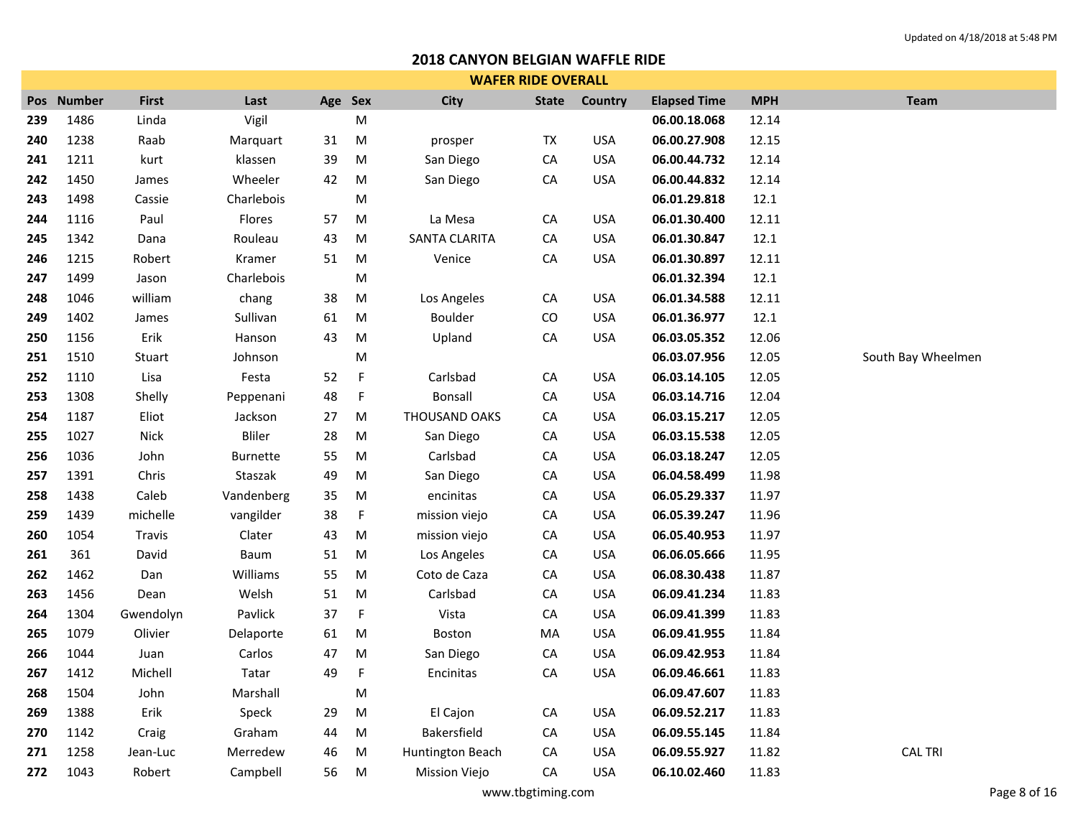|     | <b>WAFER RIDE OVERALL</b> |              |                 |         |           |                      |              |            |                     |            |                    |  |  |
|-----|---------------------------|--------------|-----------------|---------|-----------|----------------------|--------------|------------|---------------------|------------|--------------------|--|--|
| Pos | <b>Number</b>             | <b>First</b> | Last            | Age Sex |           | City                 | <b>State</b> | Country    | <b>Elapsed Time</b> | <b>MPH</b> | <b>Team</b>        |  |  |
| 239 | 1486                      | Linda        | Vigil           |         | M         |                      |              |            | 06.00.18.068        | 12.14      |                    |  |  |
| 240 | 1238                      | Raab         | Marquart        | 31      | M         | prosper              | ${\sf TX}$   | <b>USA</b> | 06.00.27.908        | 12.15      |                    |  |  |
| 241 | 1211                      | kurt         | klassen         | 39      | ${\sf M}$ | San Diego            | ${\sf CA}$   | <b>USA</b> | 06.00.44.732        | 12.14      |                    |  |  |
| 242 | 1450                      | James        | Wheeler         | 42      | M         | San Diego            | ${\sf CA}$   | <b>USA</b> | 06.00.44.832        | 12.14      |                    |  |  |
| 243 | 1498                      | Cassie       | Charlebois      |         | M         |                      |              |            | 06.01.29.818        | 12.1       |                    |  |  |
| 244 | 1116                      | Paul         | Flores          | 57      | M         | La Mesa              | CA           | <b>USA</b> | 06.01.30.400        | 12.11      |                    |  |  |
| 245 | 1342                      | Dana         | Rouleau         | 43      | M         | <b>SANTA CLARITA</b> | ${\sf CA}$   | <b>USA</b> | 06.01.30.847        | 12.1       |                    |  |  |
| 246 | 1215                      | Robert       | Kramer          | 51      | M         | Venice               | ${\sf CA}$   | <b>USA</b> | 06.01.30.897        | 12.11      |                    |  |  |
| 247 | 1499                      | Jason        | Charlebois      |         | ${\sf M}$ |                      |              |            | 06.01.32.394        | 12.1       |                    |  |  |
| 248 | 1046                      | william      | chang           | 38      | ${\sf M}$ | Los Angeles          | CA           | <b>USA</b> | 06.01.34.588        | 12.11      |                    |  |  |
| 249 | 1402                      | James        | Sullivan        | 61      | ${\sf M}$ | Boulder              | CO           | <b>USA</b> | 06.01.36.977        | 12.1       |                    |  |  |
| 250 | 1156                      | Erik         | Hanson          | 43      | ${\sf M}$ | Upland               | ${\sf CA}$   | <b>USA</b> | 06.03.05.352        | 12.06      |                    |  |  |
| 251 | 1510                      | Stuart       | Johnson         |         | M         |                      |              |            | 06.03.07.956        | 12.05      | South Bay Wheelmen |  |  |
| 252 | 1110                      | Lisa         | Festa           | 52      | F         | Carlsbad             | ${\sf CA}$   | <b>USA</b> | 06.03.14.105        | 12.05      |                    |  |  |
| 253 | 1308                      | Shelly       | Peppenani       | 48      | F         | <b>Bonsall</b>       | ${\sf CA}$   | <b>USA</b> | 06.03.14.716        | 12.04      |                    |  |  |
| 254 | 1187                      | Eliot        | Jackson         | 27      | ${\sf M}$ | THOUSAND OAKS        | CA           | <b>USA</b> | 06.03.15.217        | 12.05      |                    |  |  |
| 255 | 1027                      | <b>Nick</b>  | Bliler          | 28      | ${\sf M}$ | San Diego            | ${\sf CA}$   | <b>USA</b> | 06.03.15.538        | 12.05      |                    |  |  |
| 256 | 1036                      | John         | <b>Burnette</b> | 55      | M         | Carlsbad             | ${\sf CA}$   | <b>USA</b> | 06.03.18.247        | 12.05      |                    |  |  |
| 257 | 1391                      | Chris        | Staszak         | 49      | M         | San Diego            | ${\sf CA}$   | <b>USA</b> | 06.04.58.499        | 11.98      |                    |  |  |
| 258 | 1438                      | Caleb        | Vandenberg      | 35      | M         | encinitas            | ${\sf CA}$   | <b>USA</b> | 06.05.29.337        | 11.97      |                    |  |  |
| 259 | 1439                      | michelle     | vangilder       | 38      | F         | mission viejo        | CA           | <b>USA</b> | 06.05.39.247        | 11.96      |                    |  |  |
| 260 | 1054                      | Travis       | Clater          | 43      | M         | mission viejo        | CA           | <b>USA</b> | 06.05.40.953        | 11.97      |                    |  |  |
| 261 | 361                       | David        | Baum            | 51      | M         | Los Angeles          | CA           | <b>USA</b> | 06.06.05.666        | 11.95      |                    |  |  |
| 262 | 1462                      | Dan          | Williams        | 55      | ${\sf M}$ | Coto de Caza         | ${\sf CA}$   | <b>USA</b> | 06.08.30.438        | 11.87      |                    |  |  |
| 263 | 1456                      | Dean         | Welsh           | 51      | M         | Carlsbad             | ${\sf CA}$   | <b>USA</b> | 06.09.41.234        | 11.83      |                    |  |  |
| 264 | 1304                      | Gwendolyn    | Pavlick         | 37      | F         | Vista                | CA           | <b>USA</b> | 06.09.41.399        | 11.83      |                    |  |  |
| 265 | 1079                      | Olivier      | Delaporte       | 61      | M         | Boston               | MA           | <b>USA</b> | 06.09.41.955        | 11.84      |                    |  |  |
| 266 | 1044                      | Juan         | Carlos          | 47      | M         | San Diego            | CA           | <b>USA</b> | 06.09.42.953        | 11.84      |                    |  |  |
| 267 | 1412                      | Michell      | Tatar           | 49      | F         | Encinitas            | ${\sf CA}$   | <b>USA</b> | 06.09.46.661        | 11.83      |                    |  |  |
| 268 | 1504                      | John         | Marshall        |         | M         |                      |              |            | 06.09.47.607        | 11.83      |                    |  |  |
| 269 | 1388                      | Erik         | Speck           | 29      | M         | El Cajon             | CA           | <b>USA</b> | 06.09.52.217        | 11.83      |                    |  |  |
| 270 | 1142                      | Craig        | Graham          | 44      | M         | Bakersfield          | ${\sf CA}$   | <b>USA</b> | 06.09.55.145        | 11.84      |                    |  |  |
| 271 | 1258                      | Jean-Luc     | Merredew        | 46      | M         | Huntington Beach     | CA           | <b>USA</b> | 06.09.55.927        | 11.82      | <b>CAL TRI</b>     |  |  |
| 272 | 1043                      | Robert       | Campbell        | 56      | M         | <b>Mission Viejo</b> | CA           | <b>USA</b> | 06.10.02.460        | 11.83      |                    |  |  |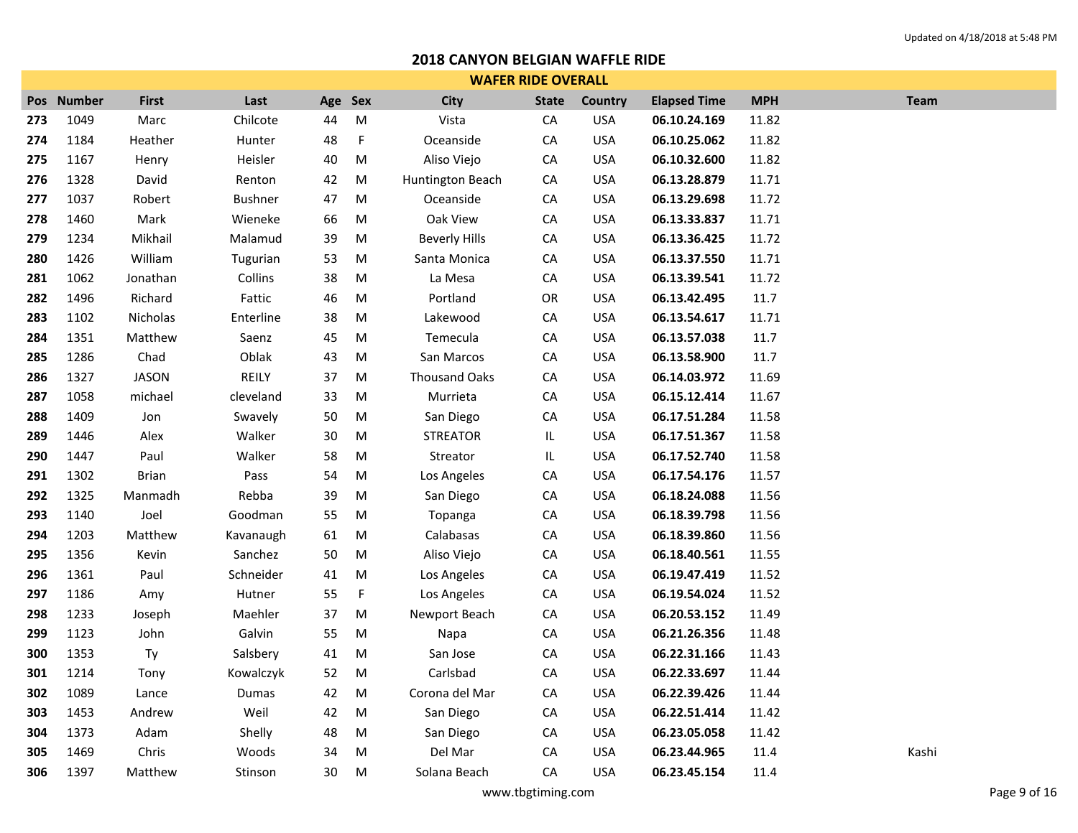| <b>WAFER RIDE OVERALL</b> |            |              |                |         |           |                      |              |                |                     |            |             |  |  |
|---------------------------|------------|--------------|----------------|---------|-----------|----------------------|--------------|----------------|---------------------|------------|-------------|--|--|
|                           | Pos Number | <b>First</b> | Last           | Age Sex |           | <b>City</b>          | <b>State</b> | <b>Country</b> | <b>Elapsed Time</b> | <b>MPH</b> | <b>Team</b> |  |  |
| 273                       | 1049       | Marc         | Chilcote       | 44      | M         | Vista                | CA           | <b>USA</b>     | 06.10.24.169        | 11.82      |             |  |  |
| 274                       | 1184       | Heather      | Hunter         | 48      | $\sf F$   | Oceanside            | ${\sf CA}$   | <b>USA</b>     | 06.10.25.062        | 11.82      |             |  |  |
| 275                       | 1167       | Henry        | Heisler        | 40      | M         | Aliso Viejo          | CA           | <b>USA</b>     | 06.10.32.600        | 11.82      |             |  |  |
| 276                       | 1328       | David        | Renton         | 42      | ${\sf M}$ | Huntington Beach     | ${\sf CA}$   | <b>USA</b>     | 06.13.28.879        | 11.71      |             |  |  |
| 277                       | 1037       | Robert       | <b>Bushner</b> | 47      | ${\sf M}$ | Oceanside            | CA           | <b>USA</b>     | 06.13.29.698        | 11.72      |             |  |  |
| 278                       | 1460       | Mark         | Wieneke        | 66      | ${\sf M}$ | Oak View             | CA           | <b>USA</b>     | 06.13.33.837        | 11.71      |             |  |  |
| 279                       | 1234       | Mikhail      | Malamud        | 39      | ${\sf M}$ | <b>Beverly Hills</b> | CA           | <b>USA</b>     | 06.13.36.425        | 11.72      |             |  |  |
| 280                       | 1426       | William      | Tugurian       | 53      | M         | Santa Monica         | CA           | <b>USA</b>     | 06.13.37.550        | 11.71      |             |  |  |
| 281                       | 1062       | Jonathan     | Collins        | 38      | ${\sf M}$ | La Mesa              | CA           | <b>USA</b>     | 06.13.39.541        | 11.72      |             |  |  |
| 282                       | 1496       | Richard      | Fattic         | 46      | ${\sf M}$ | Portland             | OR           | <b>USA</b>     | 06.13.42.495        | 11.7       |             |  |  |
| 283                       | 1102       | Nicholas     | Enterline      | 38      | $\sf M$   | Lakewood             | ${\sf CA}$   | <b>USA</b>     | 06.13.54.617        | 11.71      |             |  |  |
| 284                       | 1351       | Matthew      | Saenz          | 45      | ${\sf M}$ | Temecula             | ${\sf CA}$   | <b>USA</b>     | 06.13.57.038        | 11.7       |             |  |  |
| 285                       | 1286       | Chad         | Oblak          | 43      | ${\sf M}$ | San Marcos           | CA           | <b>USA</b>     | 06.13.58.900        | 11.7       |             |  |  |
| 286                       | 1327       | <b>JASON</b> | REILY          | 37      | ${\sf M}$ | <b>Thousand Oaks</b> | CA           | <b>USA</b>     | 06.14.03.972        | 11.69      |             |  |  |
| 287                       | 1058       | michael      | cleveland      | 33      | ${\sf M}$ | Murrieta             | ${\sf CA}$   | <b>USA</b>     | 06.15.12.414        | 11.67      |             |  |  |
| 288                       | 1409       | Jon          | Swavely        | 50      | ${\sf M}$ | San Diego            | CA           | <b>USA</b>     | 06.17.51.284        | 11.58      |             |  |  |
| 289                       | 1446       | Alex         | Walker         | 30      | ${\sf M}$ | <b>STREATOR</b>      | IL.          | <b>USA</b>     | 06.17.51.367        | 11.58      |             |  |  |
| 290                       | 1447       | Paul         | Walker         | 58      | ${\sf M}$ | Streator             | IL.          | <b>USA</b>     | 06.17.52.740        | 11.58      |             |  |  |
| 291                       | 1302       | <b>Brian</b> | Pass           | 54      | M         | Los Angeles          | CA           | <b>USA</b>     | 06.17.54.176        | 11.57      |             |  |  |
| 292                       | 1325       | Manmadh      | Rebba          | 39      | ${\sf M}$ | San Diego            | CA           | <b>USA</b>     | 06.18.24.088        | 11.56      |             |  |  |
| 293                       | 1140       | Joel         | Goodman        | 55      | M         | Topanga              | ${\sf CA}$   | <b>USA</b>     | 06.18.39.798        | 11.56      |             |  |  |
| 294                       | 1203       | Matthew      | Kavanaugh      | 61      | ${\sf M}$ | Calabasas            | CA           | <b>USA</b>     | 06.18.39.860        | 11.56      |             |  |  |
| 295                       | 1356       | Kevin        | Sanchez        | 50      | ${\sf M}$ | Aliso Viejo          | ${\sf CA}$   | <b>USA</b>     | 06.18.40.561        | 11.55      |             |  |  |
| 296                       | 1361       | Paul         | Schneider      | 41      | ${\sf M}$ | Los Angeles          | ${\sf CA}$   | <b>USA</b>     | 06.19.47.419        | 11.52      |             |  |  |
| 297                       | 1186       | Amy          | Hutner         | 55      | F         | Los Angeles          | CA           | <b>USA</b>     | 06.19.54.024        | 11.52      |             |  |  |
| 298                       | 1233       | Joseph       | Maehler        | 37      | ${\sf M}$ | Newport Beach        | ${\sf CA}$   | <b>USA</b>     | 06.20.53.152        | 11.49      |             |  |  |
| 299                       | 1123       | John         | Galvin         | 55      | ${\sf M}$ | Napa                 | ${\sf CA}$   | <b>USA</b>     | 06.21.26.356        | 11.48      |             |  |  |
| 300                       | 1353       | Ty           | Salsbery       | 41      | M         | San Jose             | CA           | <b>USA</b>     | 06.22.31.166        | 11.43      |             |  |  |
| 301                       | 1214       | Tony         | Kowalczyk      | 52      | ${\sf M}$ | Carlsbad             | CA           | <b>USA</b>     | 06.22.33.697        | 11.44      |             |  |  |
| 302                       | 1089       | Lance        | Dumas          | 42      | M         | Corona del Mar       | CA           | <b>USA</b>     | 06.22.39.426        | 11.44      |             |  |  |
| 303                       | 1453       | Andrew       | Weil           | 42      | ${\sf M}$ | San Diego            | CA           | <b>USA</b>     | 06.22.51.414        | 11.42      |             |  |  |
| 304                       | 1373       | Adam         | Shelly         | 48      | M         | San Diego            | CA           | <b>USA</b>     | 06.23.05.058        | 11.42      |             |  |  |
| 305                       | 1469       | Chris        | Woods          | 34      | M         | Del Mar              | CA           | <b>USA</b>     | 06.23.44.965        | 11.4       | Kashi       |  |  |
| 306                       | 1397       | Matthew      | Stinson        | 30      | M         | Solana Beach         | CA           | <b>USA</b>     | 06.23.45.154        | 11.4       |             |  |  |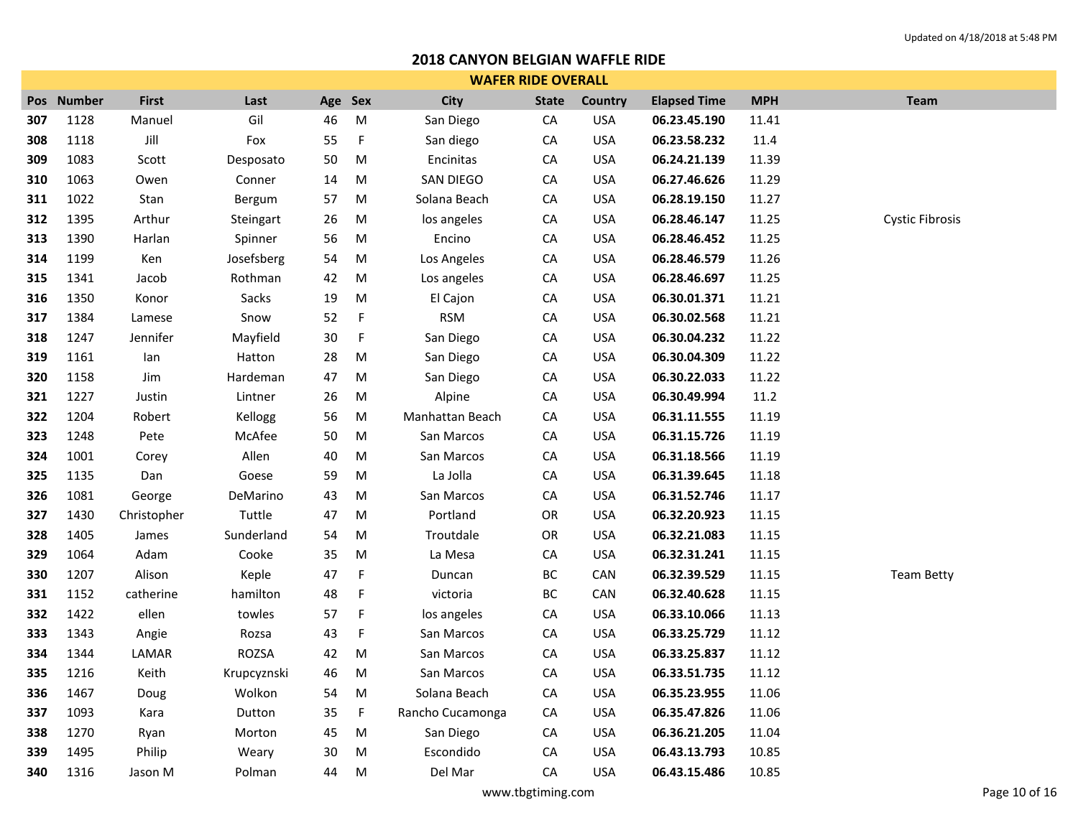|     | <b>WAFER RIDE OVERALL</b> |              |             |         |             |                  |              |            |                     |            |                        |  |  |  |
|-----|---------------------------|--------------|-------------|---------|-------------|------------------|--------------|------------|---------------------|------------|------------------------|--|--|--|
|     | Pos Number                | <b>First</b> | Last        | Age Sex |             | <b>City</b>      | <b>State</b> | Country    | <b>Elapsed Time</b> | <b>MPH</b> | <b>Team</b>            |  |  |  |
| 307 | 1128                      | Manuel       | Gil         | 46      | M           | San Diego        | ${\sf CA}$   | <b>USA</b> | 06.23.45.190        | 11.41      |                        |  |  |  |
| 308 | 1118                      | Jill         | Fox         | 55      | $\mathsf F$ | San diego        | СA           | <b>USA</b> | 06.23.58.232        | 11.4       |                        |  |  |  |
| 309 | 1083                      | Scott        | Desposato   | 50      | M           | Encinitas        | ${\sf CA}$   | <b>USA</b> | 06.24.21.139        | 11.39      |                        |  |  |  |
| 310 | 1063                      | Owen         | Conner      | 14      | ${\sf M}$   | SAN DIEGO        | СA           | <b>USA</b> | 06.27.46.626        | 11.29      |                        |  |  |  |
| 311 | 1022                      | Stan         | Bergum      | 57      | ${\sf M}$   | Solana Beach     | ${\sf CA}$   | <b>USA</b> | 06.28.19.150        | 11.27      |                        |  |  |  |
| 312 | 1395                      | Arthur       | Steingart   | 26      | ${\sf M}$   | los angeles      | ${\sf CA}$   | <b>USA</b> | 06.28.46.147        | 11.25      | <b>Cystic Fibrosis</b> |  |  |  |
| 313 | 1390                      | Harlan       | Spinner     | 56      | M           | Encino           | СA           | <b>USA</b> | 06.28.46.452        | 11.25      |                        |  |  |  |
| 314 | 1199                      | Ken          | Josefsberg  | 54      | ${\sf M}$   | Los Angeles      | ${\sf CA}$   | <b>USA</b> | 06.28.46.579        | 11.26      |                        |  |  |  |
| 315 | 1341                      | Jacob        | Rothman     | 42      | ${\sf M}$   | Los angeles      | ${\sf CA}$   | <b>USA</b> | 06.28.46.697        | 11.25      |                        |  |  |  |
| 316 | 1350                      | Konor        | Sacks       | 19      | M           | El Cajon         | CA           | <b>USA</b> | 06.30.01.371        | 11.21      |                        |  |  |  |
| 317 | 1384                      | Lamese       | Snow        | 52      | $\mathsf F$ | <b>RSM</b>       | CA           | <b>USA</b> | 06.30.02.568        | 11.21      |                        |  |  |  |
| 318 | 1247                      | Jennifer     | Mayfield    | 30      | F           | San Diego        | CA           | <b>USA</b> | 06.30.04.232        | 11.22      |                        |  |  |  |
| 319 | 1161                      | lan          | Hatton      | 28      | ${\sf M}$   | San Diego        | CA           | <b>USA</b> | 06.30.04.309        | 11.22      |                        |  |  |  |
| 320 | 1158                      | Jim          | Hardeman    | 47      | ${\sf M}$   | San Diego        | ${\sf CA}$   | <b>USA</b> | 06.30.22.033        | 11.22      |                        |  |  |  |
| 321 | 1227                      | Justin       | Lintner     | 26      | M           | Alpine           | CA           | <b>USA</b> | 06.30.49.994        | $11.2\,$   |                        |  |  |  |
| 322 | 1204                      | Robert       | Kellogg     | 56      | M           | Manhattan Beach  | CA           | <b>USA</b> | 06.31.11.555        | 11.19      |                        |  |  |  |
| 323 | 1248                      | Pete         | McAfee      | 50      | ${\sf M}$   | San Marcos       | ${\sf CA}$   | <b>USA</b> | 06.31.15.726        | 11.19      |                        |  |  |  |
| 324 | 1001                      | Corey        | Allen       | 40      | M           | San Marcos       | CA           | <b>USA</b> | 06.31.18.566        | 11.19      |                        |  |  |  |
| 325 | 1135                      | Dan          | Goese       | 59      | M           | La Jolla         | ${\sf CA}$   | <b>USA</b> | 06.31.39.645        | 11.18      |                        |  |  |  |
| 326 | 1081                      | George       | DeMarino    | 43      | M           | San Marcos       | ${\sf CA}$   | <b>USA</b> | 06.31.52.746        | 11.17      |                        |  |  |  |
| 327 | 1430                      | Christopher  | Tuttle      | 47      | ${\sf M}$   | Portland         | OR           | <b>USA</b> | 06.32.20.923        | 11.15      |                        |  |  |  |
| 328 | 1405                      | James        | Sunderland  | 54      | ${\sf M}$   | Troutdale        | OR           | <b>USA</b> | 06.32.21.083        | 11.15      |                        |  |  |  |
| 329 | 1064                      | Adam         | Cooke       | 35      | ${\sf M}$   | La Mesa          | ${\sf CA}$   | <b>USA</b> | 06.32.31.241        | 11.15      |                        |  |  |  |
| 330 | 1207                      | Alison       | Keple       | 47      | F           | Duncan           | BC           | CAN        | 06.32.39.529        | 11.15      | <b>Team Betty</b>      |  |  |  |
| 331 | 1152                      | catherine    | hamilton    | 48      | F           | victoria         | BC           | CAN        | 06.32.40.628        | 11.15      |                        |  |  |  |
| 332 | 1422                      | ellen        | towles      | 57      | $\mathsf F$ | los angeles      | ${\sf CA}$   | <b>USA</b> | 06.33.10.066        | 11.13      |                        |  |  |  |
| 333 | 1343                      | Angie        | Rozsa       | 43      | F           | San Marcos       | CA           | <b>USA</b> | 06.33.25.729        | 11.12      |                        |  |  |  |
| 334 | 1344                      | LAMAR        | ROZSA       | 42      | M           | San Marcos       | CA           | <b>USA</b> | 06.33.25.837        | 11.12      |                        |  |  |  |
| 335 | 1216                      | Keith        | Krupcyznski | 46      | ${\sf M}$   | San Marcos       | ${\sf CA}$   | <b>USA</b> | 06.33.51.735        | 11.12      |                        |  |  |  |
| 336 | 1467                      | Doug         | Wolkon      | 54      | M           | Solana Beach     | СA           | <b>USA</b> | 06.35.23.955        | 11.06      |                        |  |  |  |
| 337 | 1093                      | Kara         | Dutton      | 35      | $\mathsf F$ | Rancho Cucamonga | СA           | <b>USA</b> | 06.35.47.826        | 11.06      |                        |  |  |  |
| 338 | 1270                      | Ryan         | Morton      | 45      | M           | San Diego        | CA           | <b>USA</b> | 06.36.21.205        | 11.04      |                        |  |  |  |
| 339 | 1495                      | Philip       | Weary       | 30      | M           | Escondido        | CA           | <b>USA</b> | 06.43.13.793        | 10.85      |                        |  |  |  |
| 340 | 1316                      | Jason M      | Polman      | 44      | M           | Del Mar          | CA           | <b>USA</b> | 06.43.15.486        | 10.85      |                        |  |  |  |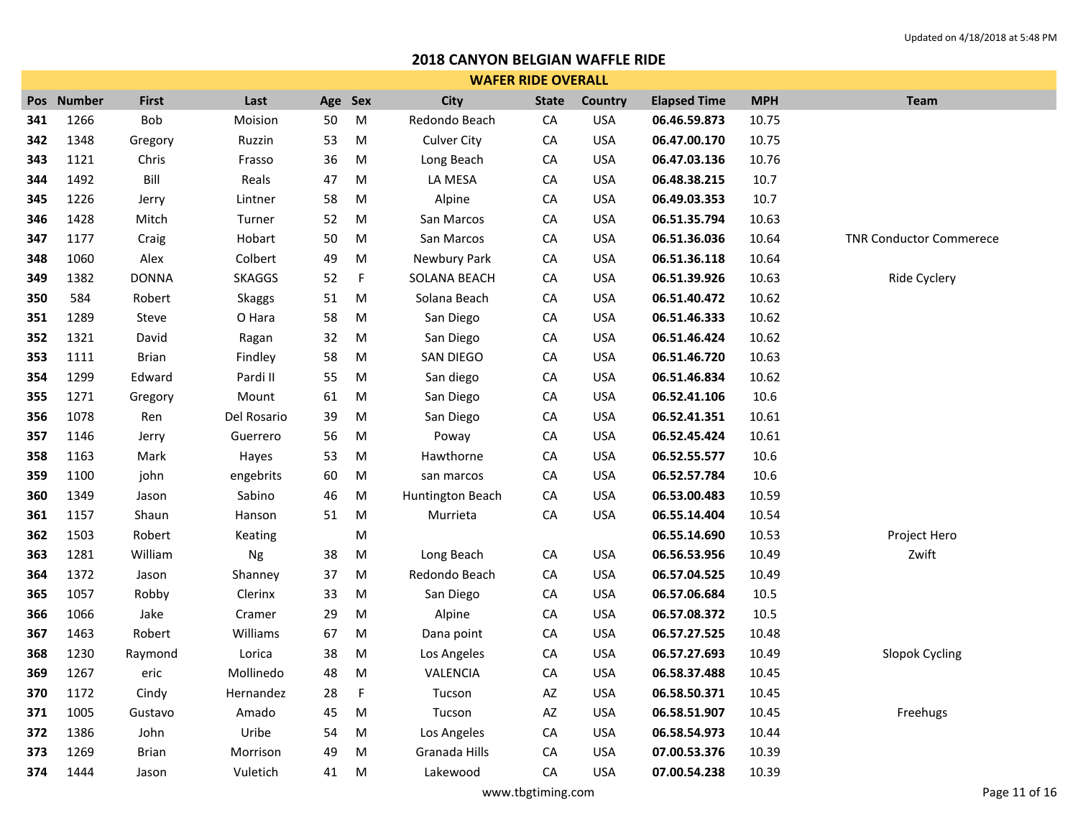|     | <b>WAFER RIDE OVERALL</b> |              |               |         |             |                    |              |            |                     |            |                                |  |  |
|-----|---------------------------|--------------|---------------|---------|-------------|--------------------|--------------|------------|---------------------|------------|--------------------------------|--|--|
|     | Pos Number                | <b>First</b> | Last          | Age Sex |             | City               | <b>State</b> | Country    | <b>Elapsed Time</b> | <b>MPH</b> | Team                           |  |  |
| 341 | 1266                      | Bob          | Moision       | 50      | ${\sf M}$   | Redondo Beach      | CA           | <b>USA</b> | 06.46.59.873        | 10.75      |                                |  |  |
| 342 | 1348                      | Gregory      | Ruzzin        | 53      | ${\sf M}$   | <b>Culver City</b> | CA           | <b>USA</b> | 06.47.00.170        | 10.75      |                                |  |  |
| 343 | 1121                      | Chris        | Frasso        | 36      | M           | Long Beach         | CA           | <b>USA</b> | 06.47.03.136        | 10.76      |                                |  |  |
| 344 | 1492                      | Bill         | Reals         | 47      | M           | LA MESA            | CA           | <b>USA</b> | 06.48.38.215        | 10.7       |                                |  |  |
| 345 | 1226                      | Jerry        | Lintner       | 58      | M           | Alpine             | CA           | <b>USA</b> | 06.49.03.353        | 10.7       |                                |  |  |
| 346 | 1428                      | Mitch        | Turner        | 52      | M           | San Marcos         | CA           | <b>USA</b> | 06.51.35.794        | 10.63      |                                |  |  |
| 347 | 1177                      | Craig        | Hobart        | 50      | M           | San Marcos         | CA           | <b>USA</b> | 06.51.36.036        | 10.64      | <b>TNR Conductor Commerece</b> |  |  |
| 348 | 1060                      | Alex         | Colbert       | 49      | ${\sf M}$   | Newbury Park       | ${\sf CA}$   | <b>USA</b> | 06.51.36.118        | 10.64      |                                |  |  |
| 349 | 1382                      | <b>DONNA</b> | <b>SKAGGS</b> | 52      | $\mathsf F$ | SOLANA BEACH       | CA           | <b>USA</b> | 06.51.39.926        | 10.63      | Ride Cyclery                   |  |  |
| 350 | 584                       | Robert       | Skaggs        | 51      | ${\sf M}$   | Solana Beach       | CA           | <b>USA</b> | 06.51.40.472        | 10.62      |                                |  |  |
| 351 | 1289                      | Steve        | O Hara        | 58      | ${\sf M}$   | San Diego          | ${\sf CA}$   | <b>USA</b> | 06.51.46.333        | 10.62      |                                |  |  |
| 352 | 1321                      | David        | Ragan         | 32      | $\sf M$     | San Diego          | CA           | <b>USA</b> | 06.51.46.424        | 10.62      |                                |  |  |
| 353 | 1111                      | <b>Brian</b> | Findley       | 58      | ${\sf M}$   | SAN DIEGO          | CA           | <b>USA</b> | 06.51.46.720        | 10.63      |                                |  |  |
| 354 | 1299                      | Edward       | Pardi II      | 55      | ${\sf M}$   | San diego          | CA           | <b>USA</b> | 06.51.46.834        | 10.62      |                                |  |  |
| 355 | 1271                      | Gregory      | Mount         | 61      | M           | San Diego          | CA           | <b>USA</b> | 06.52.41.106        | 10.6       |                                |  |  |
| 356 | 1078                      | Ren          | Del Rosario   | 39      | M           | San Diego          | CA           | <b>USA</b> | 06.52.41.351        | 10.61      |                                |  |  |
| 357 | 1146                      | Jerry        | Guerrero      | 56      | ${\sf M}$   | Poway              | CA           | <b>USA</b> | 06.52.45.424        | 10.61      |                                |  |  |
| 358 | 1163                      | Mark         | Hayes         | 53      | M           | Hawthorne          | CA           | <b>USA</b> | 06.52.55.577        | 10.6       |                                |  |  |
| 359 | 1100                      | john         | engebrits     | 60      | ${\sf M}$   | san marcos         | CA           | <b>USA</b> | 06.52.57.784        | 10.6       |                                |  |  |
| 360 | 1349                      | Jason        | Sabino        | 46      | ${\sf M}$   | Huntington Beach   | CA           | <b>USA</b> | 06.53.00.483        | 10.59      |                                |  |  |
| 361 | 1157                      | Shaun        | Hanson        | 51      | ${\sf M}$   | Murrieta           | CA           | <b>USA</b> | 06.55.14.404        | 10.54      |                                |  |  |
| 362 | 1503                      | Robert       | Keating       |         | ${\sf M}$   |                    |              |            | 06.55.14.690        | 10.53      | Project Hero                   |  |  |
| 363 | 1281                      | William      | Ng            | 38      | ${\sf M}$   | Long Beach         | CA           | <b>USA</b> | 06.56.53.956        | 10.49      | Zwift                          |  |  |
| 364 | 1372                      | Jason        | Shanney       | 37      | M           | Redondo Beach      | CA           | <b>USA</b> | 06.57.04.525        | 10.49      |                                |  |  |
| 365 | 1057                      | Robby        | Clerinx       | 33      | M           | San Diego          | CA           | <b>USA</b> | 06.57.06.684        | 10.5       |                                |  |  |
| 366 | 1066                      | Jake         | Cramer        | 29      | ${\sf M}$   | Alpine             | CA           | <b>USA</b> | 06.57.08.372        | 10.5       |                                |  |  |
| 367 | 1463                      | Robert       | Williams      | 67      | M           | Dana point         | CA           | <b>USA</b> | 06.57.27.525        | 10.48      |                                |  |  |
| 368 | 1230                      | Raymond      | Lorica        | 38      | M           | Los Angeles        | CA           | <b>USA</b> | 06.57.27.693        | 10.49      | <b>Slopok Cycling</b>          |  |  |
| 369 | 1267                      | eric         | Mollinedo     | 48      | M           | VALENCIA           | CA           | <b>USA</b> | 06.58.37.488        | 10.45      |                                |  |  |
| 370 | 1172                      | Cindy        | Hernandez     | 28      | F           | Tucson             | AZ           | <b>USA</b> | 06.58.50.371        | 10.45      |                                |  |  |
| 371 | 1005                      | Gustavo      | Amado         | 45      | M           | Tucson             | AZ           | <b>USA</b> | 06.58.51.907        | 10.45      | Freehugs                       |  |  |
| 372 | 1386                      | John         | Uribe         | 54      | M           | Los Angeles        | CA           | <b>USA</b> | 06.58.54.973        | 10.44      |                                |  |  |
| 373 | 1269                      | <b>Brian</b> | Morrison      | 49      | M           | Granada Hills      | СA           | <b>USA</b> | 07.00.53.376        | 10.39      |                                |  |  |
| 374 | 1444                      | Jason        | Vuletich      | 41      | M           | Lakewood           | CA           | <b>USA</b> | 07.00.54.238        | 10.39      |                                |  |  |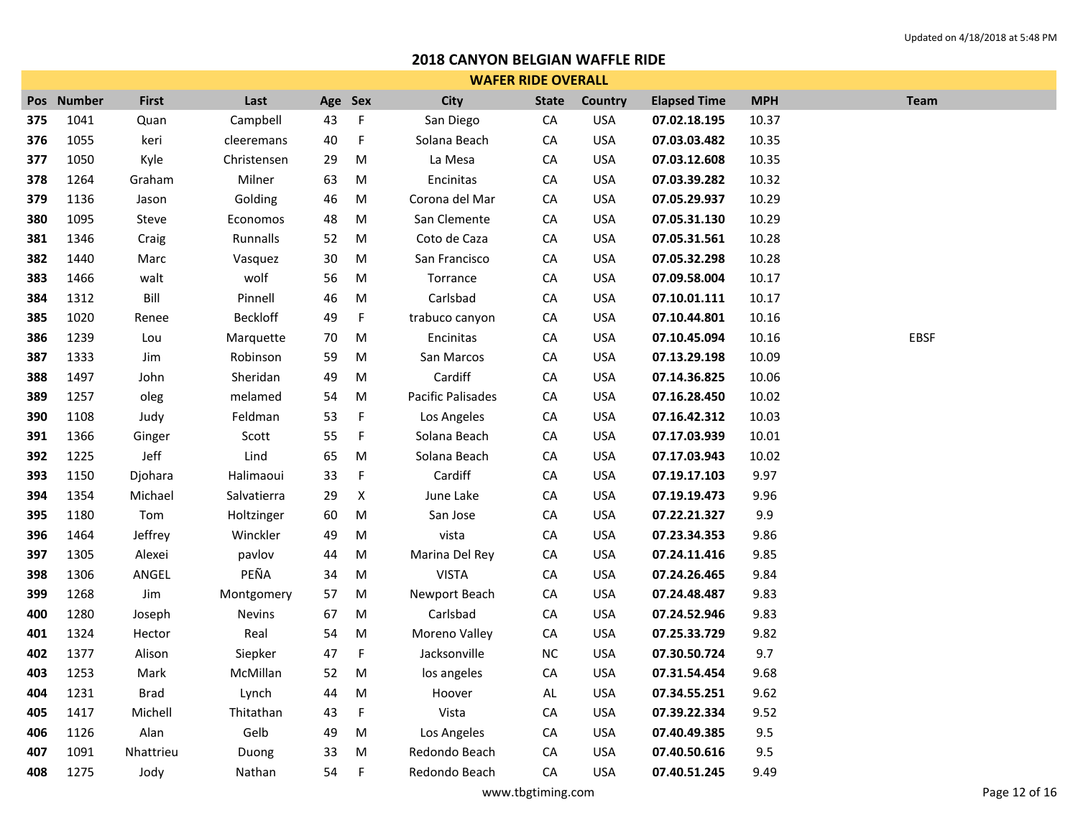|     | <b>WAFER RIDE OVERALL</b> |              |                 |        |             |                   |              |            |                     |            |             |  |  |  |
|-----|---------------------------|--------------|-----------------|--------|-------------|-------------------|--------------|------------|---------------------|------------|-------------|--|--|--|
|     | Pos Number                | <b>First</b> | Last            | Age    | Sex         | <b>City</b>       | <b>State</b> | Country    | <b>Elapsed Time</b> | <b>MPH</b> | <b>Team</b> |  |  |  |
| 375 | 1041                      | Quan         | Campbell        | 43     | $\mathsf F$ | San Diego         | CA           | <b>USA</b> | 07.02.18.195        | 10.37      |             |  |  |  |
| 376 | 1055                      | keri         | cleeremans      | 40     | $\mathsf F$ | Solana Beach      | CA           | <b>USA</b> | 07.03.03.482        | 10.35      |             |  |  |  |
| 377 | 1050                      | Kyle         | Christensen     | 29     | M           | La Mesa           | CA           | <b>USA</b> | 07.03.12.608        | 10.35      |             |  |  |  |
| 378 | 1264                      | Graham       | Milner          | 63     | M           | Encinitas         | CA           | <b>USA</b> | 07.03.39.282        | 10.32      |             |  |  |  |
| 379 | 1136                      | Jason        | Golding         | 46     | M           | Corona del Mar    | CA           | <b>USA</b> | 07.05.29.937        | 10.29      |             |  |  |  |
| 380 | 1095                      | Steve        | Economos        | 48     | M           | San Clemente      | CA           | <b>USA</b> | 07.05.31.130        | 10.29      |             |  |  |  |
| 381 | 1346                      | Craig        | Runnalls        | 52     | M           | Coto de Caza      | CA           | <b>USA</b> | 07.05.31.561        | 10.28      |             |  |  |  |
| 382 | 1440                      | Marc         | Vasquez         | $30\,$ | M           | San Francisco     | CA           | <b>USA</b> | 07.05.32.298        | 10.28      |             |  |  |  |
| 383 | 1466                      | walt         | wolf            | 56     | M           | Torrance          | CA           | <b>USA</b> | 07.09.58.004        | 10.17      |             |  |  |  |
| 384 | 1312                      | Bill         | Pinnell         | 46     | M           | Carlsbad          | CA           | <b>USA</b> | 07.10.01.111        | 10.17      |             |  |  |  |
| 385 | 1020                      | Renee        | <b>Beckloff</b> | 49     | F           | trabuco canyon    | ${\sf CA}$   | <b>USA</b> | 07.10.44.801        | 10.16      |             |  |  |  |
| 386 | 1239                      | Lou          | Marquette       | 70     | M           | Encinitas         | ${\sf CA}$   | <b>USA</b> | 07.10.45.094        | 10.16      | EBSF        |  |  |  |
| 387 | 1333                      | Jim          | Robinson        | 59     | M           | San Marcos        | CA           | <b>USA</b> | 07.13.29.198        | 10.09      |             |  |  |  |
| 388 | 1497                      | John         | Sheridan        | 49     | M           | Cardiff           | CA           | <b>USA</b> | 07.14.36.825        | 10.06      |             |  |  |  |
| 389 | 1257                      | oleg         | melamed         | 54     | M           | Pacific Palisades | ${\sf CA}$   | <b>USA</b> | 07.16.28.450        | 10.02      |             |  |  |  |
| 390 | 1108                      | Judy         | Feldman         | 53     | $\mathsf F$ | Los Angeles       | ${\sf CA}$   | <b>USA</b> | 07.16.42.312        | 10.03      |             |  |  |  |
| 391 | 1366                      | Ginger       | Scott           | 55     | $\mathsf F$ | Solana Beach      | CA           | <b>USA</b> | 07.17.03.939        | 10.01      |             |  |  |  |
| 392 | 1225                      | Jeff         | Lind            | 65     | M           | Solana Beach      | CA           | <b>USA</b> | 07.17.03.943        | 10.02      |             |  |  |  |
| 393 | 1150                      | Djohara      | Halimaoui       | 33     | F           | Cardiff           | ${\sf CA}$   | <b>USA</b> | 07.19.17.103        | 9.97       |             |  |  |  |
| 394 | 1354                      | Michael      | Salvatierra     | 29     | X           | June Lake         | CA           | <b>USA</b> | 07.19.19.473        | 9.96       |             |  |  |  |
| 395 | 1180                      | Tom          | Holtzinger      | 60     | M           | San Jose          | CA           | <b>USA</b> | 07.22.21.327        | 9.9        |             |  |  |  |
| 396 | 1464                      | Jeffrey      | Winckler        | 49     | M           | vista             | ${\sf CA}$   | <b>USA</b> | 07.23.34.353        | 9.86       |             |  |  |  |
| 397 | 1305                      | Alexei       | pavlov          | 44     | M           | Marina Del Rey    | CA           | <b>USA</b> | 07.24.11.416        | 9.85       |             |  |  |  |
| 398 | 1306                      | ANGEL        | PEÑA            | 34     | M           | <b>VISTA</b>      | ${\sf CA}$   | <b>USA</b> | 07.24.26.465        | 9.84       |             |  |  |  |
| 399 | 1268                      | Jim          | Montgomery      | 57     | M           | Newport Beach     | CA           | <b>USA</b> | 07.24.48.487        | 9.83       |             |  |  |  |
| 400 | 1280                      | Joseph       | Nevins          | 67     | M           | Carlsbad          | CA           | <b>USA</b> | 07.24.52.946        | 9.83       |             |  |  |  |
| 401 | 1324                      | Hector       | Real            | 54     | M           | Moreno Valley     | CA           | <b>USA</b> | 07.25.33.729        | 9.82       |             |  |  |  |
| 402 | 1377                      | Alison       | Siepker         | 47     | $\mathsf F$ | Jacksonville      | $NC$         | <b>USA</b> | 07.30.50.724        | 9.7        |             |  |  |  |
| 403 | 1253                      | Mark         | McMillan        | 52     | M           | los angeles       | CA           | <b>USA</b> | 07.31.54.454        | 9.68       |             |  |  |  |
| 404 | 1231                      | <b>Brad</b>  | Lynch           | 44     | M           | Hoover            | AL           | <b>USA</b> | 07.34.55.251        | 9.62       |             |  |  |  |
| 405 | 1417                      | Michell      | Thitathan       | 43     | $\mathsf F$ | Vista             | CA           | <b>USA</b> | 07.39.22.334        | 9.52       |             |  |  |  |
| 406 | 1126                      | Alan         | Gelb            | 49     | M           | Los Angeles       | CA           | <b>USA</b> | 07.40.49.385        | 9.5        |             |  |  |  |
| 407 | 1091                      | Nhattrieu    | Duong           | 33     | M           | Redondo Beach     | CA           | <b>USA</b> | 07.40.50.616        | 9.5        |             |  |  |  |
| 408 | 1275                      | Jody         | Nathan          | 54     | F           | Redondo Beach     | CA           | <b>USA</b> | 07.40.51.245        | 9.49       |             |  |  |  |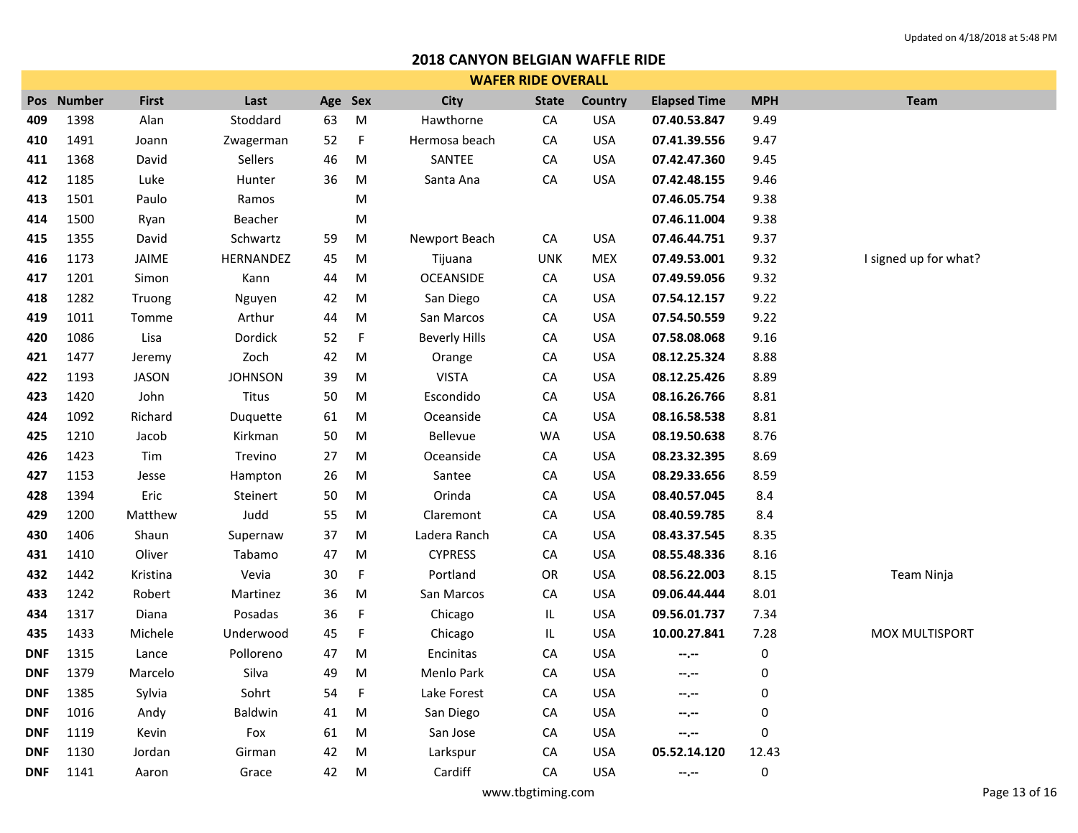|            | <b>WAFER RIDE OVERALL</b> |              |                |         |             |                      |              |                |                     |            |                       |
|------------|---------------------------|--------------|----------------|---------|-------------|----------------------|--------------|----------------|---------------------|------------|-----------------------|
|            | Pos Number                | <b>First</b> | Last           | Age Sex |             | City                 | <b>State</b> | <b>Country</b> | <b>Elapsed Time</b> | <b>MPH</b> | <b>Team</b>           |
| 409        | 1398                      | Alan         | Stoddard       | 63      | M           | Hawthorne            | CA           | <b>USA</b>     | 07.40.53.847        | 9.49       |                       |
| 410        | 1491                      | Joann        | Zwagerman      | 52      | $\mathsf F$ | Hermosa beach        | CA           | <b>USA</b>     | 07.41.39.556        | 9.47       |                       |
| 411        | 1368                      | David        | Sellers        | 46      | ${\sf M}$   | SANTEE               | CA           | <b>USA</b>     | 07.42.47.360        | 9.45       |                       |
| 412        | 1185                      | Luke         | Hunter         | 36      | M           | Santa Ana            | ${\sf CA}$   | <b>USA</b>     | 07.42.48.155        | 9.46       |                       |
| 413        | 1501                      | Paulo        | Ramos          |         | M           |                      |              |                | 07.46.05.754        | 9.38       |                       |
| 414        | 1500                      | Ryan         | Beacher        |         | M           |                      |              |                | 07.46.11.004        | 9.38       |                       |
| 415        | 1355                      | David        | Schwartz       | 59      | M           | Newport Beach        | CA           | <b>USA</b>     | 07.46.44.751        | 9.37       |                       |
| 416        | 1173                      | JAIME        | HERNANDEZ      | 45      | ${\sf M}$   | Tijuana              | <b>UNK</b>   | <b>MEX</b>     | 07.49.53.001        | 9.32       | I signed up for what? |
| 417        | 1201                      | Simon        | Kann           | 44      | ${\sf M}$   | OCEANSIDE            | CA           | <b>USA</b>     | 07.49.59.056        | 9.32       |                       |
| 418        | 1282                      | Truong       | Nguyen         | 42      | M           | San Diego            | CA           | <b>USA</b>     | 07.54.12.157        | 9.22       |                       |
| 419        | 1011                      | Tomme        | Arthur         | 44      | ${\sf M}$   | San Marcos           | CA           | <b>USA</b>     | 07.54.50.559        | 9.22       |                       |
| 420        | 1086                      | Lisa         | Dordick        | 52      | F           | <b>Beverly Hills</b> | CA           | <b>USA</b>     | 07.58.08.068        | 9.16       |                       |
| 421        | 1477                      | Jeremy       | Zoch           | 42      | M           | Orange               | ${\sf CA}$   | <b>USA</b>     | 08.12.25.324        | 8.88       |                       |
| 422        | 1193                      | <b>JASON</b> | <b>JOHNSON</b> | 39      | ${\sf M}$   | <b>VISTA</b>         | CA           | <b>USA</b>     | 08.12.25.426        | 8.89       |                       |
| 423        | 1420                      | John         | Titus          | 50      | M           | Escondido            | CA           | <b>USA</b>     | 08.16.26.766        | 8.81       |                       |
| 424        | 1092                      | Richard      | Duquette       | 61      | M           | Oceanside            | CA           | <b>USA</b>     | 08.16.58.538        | 8.81       |                       |
| 425        | 1210                      | Jacob        | Kirkman        | 50      | ${\sf M}$   | Bellevue             | <b>WA</b>    | <b>USA</b>     | 08.19.50.638        | 8.76       |                       |
| 426        | 1423                      | Tim          | Trevino        | 27      | M           | Oceanside            | CA           | <b>USA</b>     | 08.23.32.395        | 8.69       |                       |
| 427        | 1153                      | Jesse        | Hampton        | 26      | ${\sf M}$   | Santee               | CA           | <b>USA</b>     | 08.29.33.656        | 8.59       |                       |
| 428        | 1394                      | Eric         | Steinert       | 50      | M           | Orinda               | CA           | <b>USA</b>     | 08.40.57.045        | 8.4        |                       |
| 429        | 1200                      | Matthew      | Judd           | 55      | M           | Claremont            | CA           | <b>USA</b>     | 08.40.59.785        | 8.4        |                       |
| 430        | 1406                      | Shaun        | Supernaw       | 37      | M           | Ladera Ranch         | CA           | <b>USA</b>     | 08.43.37.545        | 8.35       |                       |
| 431        | 1410                      | Oliver       | Tabamo         | 47      | M           | <b>CYPRESS</b>       | ${\sf CA}$   | <b>USA</b>     | 08.55.48.336        | 8.16       |                       |
| 432        | 1442                      | Kristina     | Vevia          | 30      | F           | Portland             | ${\sf OR}$   | <b>USA</b>     | 08.56.22.003        | 8.15       | Team Ninja            |
| 433        | 1242                      | Robert       | Martinez       | 36      | M           | San Marcos           | CA           | <b>USA</b>     | 09.06.44.444        | 8.01       |                       |
| 434        | 1317                      | Diana        | Posadas        | 36      | F           | Chicago              | IL.          | <b>USA</b>     | 09.56.01.737        | 7.34       |                       |
| 435        | 1433                      | Michele      | Underwood      | 45      | F           | Chicago              | IL           | <b>USA</b>     | 10.00.27.841        | 7.28       | <b>MOX MULTISPORT</b> |
| <b>DNF</b> | 1315                      | Lance        | Polloreno      | 47      | M           | Encinitas            | CA           | <b>USA</b>     | $- - - - -$         | 0          |                       |
| <b>DNF</b> | 1379                      | Marcelo      | Silva          | 49      | M           | Menlo Park           | ${\sf CA}$   | <b>USA</b>     | $- - - - -$         | 0          |                       |
| <b>DNF</b> | 1385                      | Sylvia       | Sohrt          | 54      | F           | Lake Forest          | CA           | <b>USA</b>     | --.--               | 0          |                       |
| <b>DNF</b> | 1016                      | Andy         | Baldwin        | 41      | M           | San Diego            | CA           | <b>USA</b>     | $-2 - 1 - 1 = 0$    | 0          |                       |
| <b>DNF</b> | 1119                      | Kevin        | Fox            | 61      | M           | San Jose             | ${\sf CA}$   | <b>USA</b>     | $-2 - 1$            | 0          |                       |
| <b>DNF</b> | 1130                      | Jordan       | Girman         | 42      | M           | Larkspur             | CA           | <b>USA</b>     | 05.52.14.120        | 12.43      |                       |
| <b>DNF</b> | 1141                      | Aaron        | Grace          | 42      | M           | Cardiff              | CA           | <b>USA</b>     | $-1 - 1 - 1 = 0$    | 0          |                       |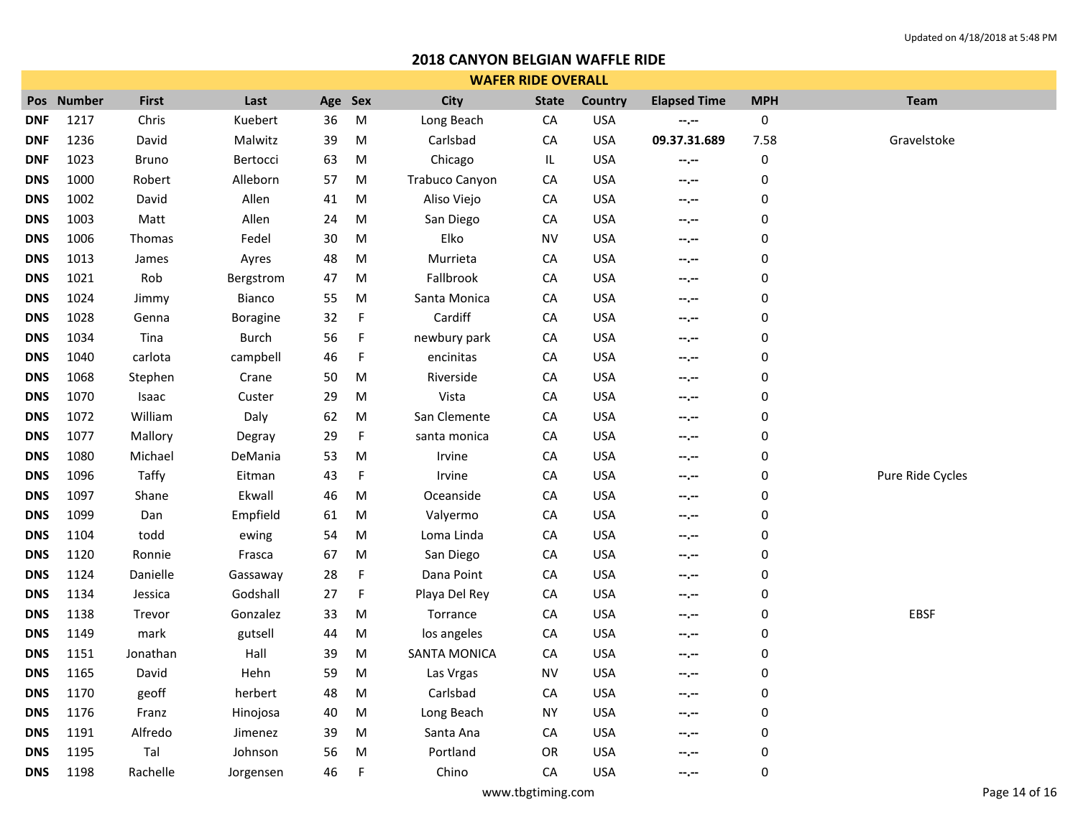| <b>WAFER RIDE OVERALL</b> |            |              |              |         |             |                     |              |                |                     |            |                  |
|---------------------------|------------|--------------|--------------|---------|-------------|---------------------|--------------|----------------|---------------------|------------|------------------|
|                           | Pos Number | <b>First</b> | Last         | Age Sex |             | <b>City</b>         | <b>State</b> | <b>Country</b> | <b>Elapsed Time</b> | <b>MPH</b> | <b>Team</b>      |
| <b>DNF</b>                | 1217       | Chris        | Kuebert      | 36      | ${\sf M}$   | Long Beach          | CA           | <b>USA</b>     | $-1, -1$            | 0          |                  |
| <b>DNF</b>                | 1236       | David        | Malwitz      | 39      | M           | Carlsbad            | СA           | <b>USA</b>     | 09.37.31.689        | 7.58       | Gravelstoke      |
| <b>DNF</b>                | 1023       | <b>Bruno</b> | Bertocci     | 63      | M           | Chicago             | IL           | <b>USA</b>     | $-2 - 1 - 1 = 0$    | 0          |                  |
| <b>DNS</b>                | 1000       | Robert       | Alleborn     | 57      | M           | Trabuco Canyon      | СA           | <b>USA</b>     | --.--               | $\pmb{0}$  |                  |
| <b>DNS</b>                | 1002       | David        | Allen        | 41      | ${\sf M}$   | Aliso Viejo         | ${\sf CA}$   | <b>USA</b>     | $-1 - 1 - 1 = 0$    | 0          |                  |
| <b>DNS</b>                | 1003       | Matt         | Allen        | 24      | M           | San Diego           | CA           | <b>USA</b>     | $- - - - -$         | 0          |                  |
| <b>DNS</b>                | 1006       | Thomas       | Fedel        | 30      | M           | Elko                | <b>NV</b>    | <b>USA</b>     | $-1, -1$            | 0          |                  |
| <b>DNS</b>                | 1013       | James        | Ayres        | 48      | M           | Murrieta            | ${\sf CA}$   | <b>USA</b>     | $- - - - -$         | 0          |                  |
| <b>DNS</b>                | 1021       | Rob          | Bergstrom    | 47      | M           | Fallbrook           | ${\sf CA}$   | <b>USA</b>     | $- - - - -$         | 0          |                  |
| <b>DNS</b>                | 1024       | Jimmy        | Bianco       | 55      | M           | Santa Monica        | CA           | <b>USA</b>     | $-2 - 1 - 1 = 0$    | 0          |                  |
| <b>DNS</b>                | 1028       | Genna        | Boragine     | 32      | F           | Cardiff             | ${\sf CA}$   | <b>USA</b>     | $- - - - -$         | $\pmb{0}$  |                  |
| <b>DNS</b>                | 1034       | Tina         | <b>Burch</b> | 56      | F           | newbury park        | ${\sf CA}$   | <b>USA</b>     | $-2 - 1 - 1 = 0$    | 0          |                  |
| <b>DNS</b>                | 1040       | carlota      | campbell     | 46      | $\mathsf F$ | encinitas           | ${\sf CA}$   | <b>USA</b>     | $-1$ , $-1$         | 0          |                  |
| <b>DNS</b>                | 1068       | Stephen      | Crane        | 50      | M           | Riverside           | ${\sf CA}$   | <b>USA</b>     | $-1$ , $-1$         | 0          |                  |
| <b>DNS</b>                | 1070       | Isaac        | Custer       | 29      | M           | Vista               | ${\sf CA}$   | <b>USA</b>     | $- - - - -$         | 0          |                  |
| <b>DNS</b>                | 1072       | William      | Daly         | 62      | M           | San Clemente        | CA           | <b>USA</b>     | $- - - - -$         | 0          |                  |
| <b>DNS</b>                | 1077       | Mallory      | Degray       | 29      | $\mathsf F$ | santa monica        | ${\sf CA}$   | <b>USA</b>     | $-2 - 1 - 1 = 0$    | 0          |                  |
| <b>DNS</b>                | 1080       | Michael      | DeMania      | 53      | M           | Irvine              | ${\sf CA}$   | <b>USA</b>     | $- - - - -$         | 0          |                  |
| <b>DNS</b>                | 1096       | Taffy        | Eitman       | 43      | $\mathsf F$ | Irvine              | ${\sf CA}$   | <b>USA</b>     | $-2 - 1 - 1 = 0$    | 0          | Pure Ride Cycles |
| <b>DNS</b>                | 1097       | Shane        | Ekwall       | 46      | M           | Oceanside           | ${\sf CA}$   | <b>USA</b>     | --.--               | $\pmb{0}$  |                  |
| <b>DNS</b>                | 1099       | Dan          | Empfield     | 61      | M           | Valyermo            | CA           | <b>USA</b>     | $-1 - 1 - 1 = 0$    | 0          |                  |
| <b>DNS</b>                | 1104       | todd         | ewing        | 54      | M           | Loma Linda          | ${\sf CA}$   | <b>USA</b>     | --.--               | 0          |                  |
| <b>DNS</b>                | 1120       | Ronnie       | Frasca       | 67      | M           | San Diego           | ${\sf CA}$   | <b>USA</b>     | --.--               | $\pmb{0}$  |                  |
| <b>DNS</b>                | 1124       | Danielle     | Gassaway     | 28      | F           | Dana Point          | CA           | <b>USA</b>     | $-2 - 1 - 1 = 0$    | 0          |                  |
| <b>DNS</b>                | 1134       | Jessica      | Godshall     | 27      | F           | Playa Del Rey       | ${\sf CA}$   | <b>USA</b>     | $-2 - 1 - 1 = 0$    | 0          |                  |
| <b>DNS</b>                | 1138       | Trevor       | Gonzalez     | 33      | M           | Torrance            | СA           | <b>USA</b>     | $-1$ , $-1$         | 0          | <b>EBSF</b>      |
| <b>DNS</b>                | 1149       | mark         | gutsell      | 44      | M           | los angeles         | СA           | <b>USA</b>     | $-2 - 1 - 1 = 0$    | 0          |                  |
| <b>DNS</b>                | 1151       | Jonathan     | Hall         | 39      | ${\sf M}$   | <b>SANTA MONICA</b> | CA           | <b>USA</b>     | $-1 - 1 - 1 = 0$    | 0          |                  |
| <b>DNS</b>                | 1165       | David        | Hehn         | 59      | M           | Las Vrgas           | <b>NV</b>    | <b>USA</b>     | $-2 - 1 - 1 = 0$    | 0          |                  |
| <b>DNS</b>                | 1170       | geoff        | herbert      | 48      | M           | Carlsbad            | CA           | <b>USA</b>     | $- - - - -$         | 0          |                  |
| <b>DNS</b>                | 1176       | Franz        | Hinojosa     | 40      | M           | Long Beach          | ΝY           | <b>USA</b>     | $-2 - 1 - 1 = 0$    | 0          |                  |
| <b>DNS</b>                | 1191       | Alfredo      | Jimenez      | 39      | M           | Santa Ana           | СA           | <b>USA</b>     | --.--               | $\pmb{0}$  |                  |
| <b>DNS</b>                | 1195       | Tal          | Johnson      | 56      | M           | Portland            | OR           | <b>USA</b>     | --.--               | 0          |                  |
| <b>DNS</b>                | 1198       | Rachelle     | Jorgensen    | 46      | F           | Chino               | CA           | <b>USA</b>     | --.--               | 0          |                  |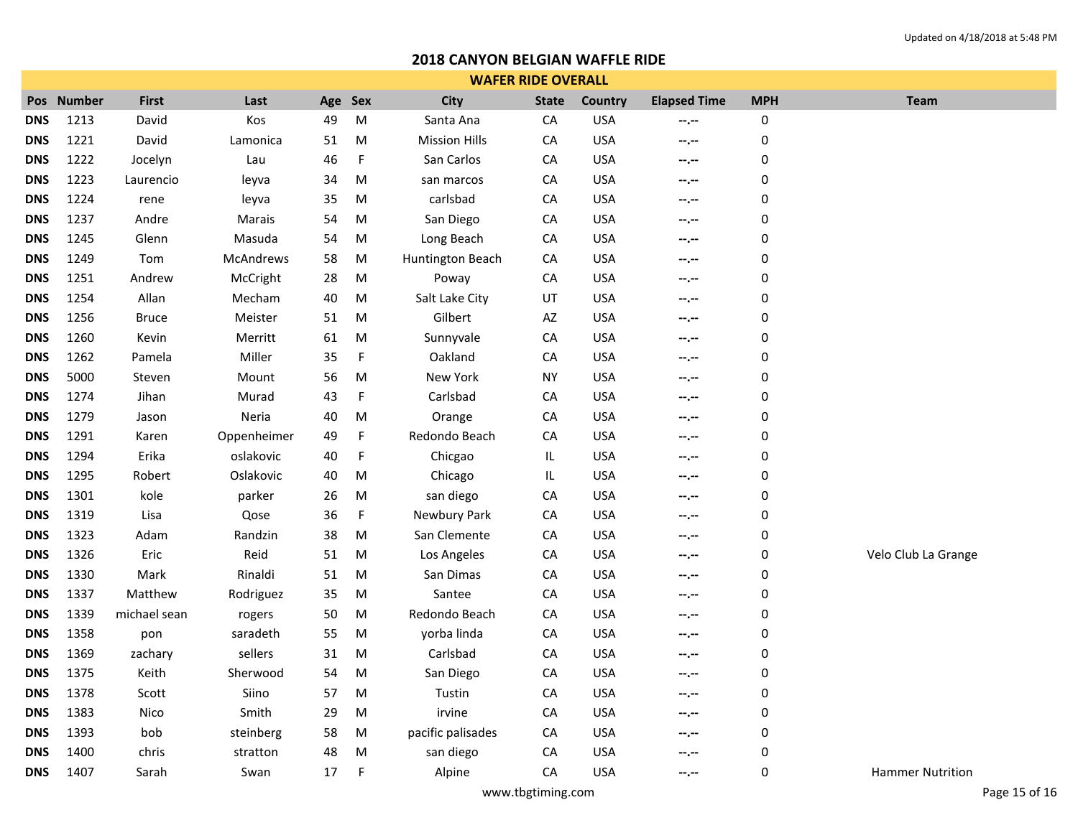|            | <b>WAFER RIDE OVERALL</b> |              |                  |     |             |                      |              |                |                     |             |                         |
|------------|---------------------------|--------------|------------------|-----|-------------|----------------------|--------------|----------------|---------------------|-------------|-------------------------|
|            | Pos Number                | <b>First</b> | Last             | Age | Sex         | <b>City</b>          | <b>State</b> | <b>Country</b> | <b>Elapsed Time</b> | <b>MPH</b>  | <b>Team</b>             |
| <b>DNS</b> | 1213                      | David        | Kos              | 49  | M           | Santa Ana            | CA           | <b>USA</b>     | $-2, -2$            | 0           |                         |
| <b>DNS</b> | 1221                      | David        | Lamonica         | 51  | M           | <b>Mission Hills</b> | CA           | <b>USA</b>     | $-1 - 1 - 1 = 0$    | 0           |                         |
| <b>DNS</b> | 1222                      | Jocelyn      | Lau              | 46  | F           | San Carlos           | CA           | <b>USA</b>     | $-2 - 2 = 0$        | 0           |                         |
| <b>DNS</b> | 1223                      | Laurencio    | leyva            | 34  | M           | san marcos           | CA           | <b>USA</b>     | $-2, -2$            | 0           |                         |
| <b>DNS</b> | 1224                      | rene         | leyva            | 35  | M           | carlsbad             | CA           | <b>USA</b>     | $- - - - -$         | 0           |                         |
| <b>DNS</b> | 1237                      | Andre        | Marais           | 54  | M           | San Diego            | CA           | <b>USA</b>     | --.--               | 0           |                         |
| <b>DNS</b> | 1245                      | Glenn        | Masuda           | 54  | M           | Long Beach           | CA           | <b>USA</b>     | $-2, -2$            | 0           |                         |
| <b>DNS</b> | 1249                      | Tom          | <b>McAndrews</b> | 58  | M           | Huntington Beach     | CA           | <b>USA</b>     | $-1 - 1 - 1 = 0$    | 0           |                         |
| <b>DNS</b> | 1251                      | Andrew       | McCright         | 28  | M           | Poway                | CA           | <b>USA</b>     | $-2 - 2 - 1 = 0$    | 0           |                         |
| <b>DNS</b> | 1254                      | Allan        | Mecham           | 40  | M           | Salt Lake City       | UT           | <b>USA</b>     | $-1$ , $-1$         | 0           |                         |
| <b>DNS</b> | 1256                      | <b>Bruce</b> | Meister          | 51  | M           | Gilbert              | AZ           | <b>USA</b>     | $-2 - 1 = 0$        | $\mathbf 0$ |                         |
| <b>DNS</b> | 1260                      | Kevin        | Merritt          | 61  | M           | Sunnyvale            | CA           | <b>USA</b>     | $-2 - 1$            | $\mathbf 0$ |                         |
| <b>DNS</b> | 1262                      | Pamela       | Miller           | 35  | $\mathsf F$ | Oakland              | CA           | <b>USA</b>     | $-1, -1$            | 0           |                         |
| <b>DNS</b> | 5000                      | Steven       | Mount            | 56  | M           | New York             | <b>NY</b>    | <b>USA</b>     | $-1 - 1 - 1 = 0$    | $\mathbf 0$ |                         |
| <b>DNS</b> | 1274                      | Jihan        | Murad            | 43  | $\mathsf F$ | Carlsbad             | CA           | <b>USA</b>     | $-1$ , $-1$         | 0           |                         |
| <b>DNS</b> | 1279                      | Jason        | Neria            | 40  | M           | Orange               | CA           | <b>USA</b>     | $-2, -2$            | 0           |                         |
| <b>DNS</b> | 1291                      | Karen        | Oppenheimer      | 49  | $\mathsf F$ | Redondo Beach        | CA           | <b>USA</b>     | $-1 - 1 - 1 = 0$    | $\mathbf 0$ |                         |
| <b>DNS</b> | 1294                      | Erika        | oslakovic        | 40  | $\mathsf F$ | Chicgao              | IL.          | <b>USA</b>     | --.--               | 0           |                         |
| <b>DNS</b> | 1295                      | Robert       | Oslakovic        | 40  | M           | Chicago              | IL.          | <b>USA</b>     | $-2, -2$            | 0           |                         |
| <b>DNS</b> | 1301                      | kole         | parker           | 26  | M           | san diego            | CA           | <b>USA</b>     | $-1 - 1 - 1 = 0$    | $\mathbf 0$ |                         |
| <b>DNS</b> | 1319                      | Lisa         | Qose             | 36  | F           | Newbury Park         | ${\sf CA}$   | <b>USA</b>     | --.--               | 0           |                         |
| <b>DNS</b> | 1323                      | Adam         | Randzin          | 38  | M           | San Clemente         | CA           | <b>USA</b>     | --.--               | 0           |                         |
| <b>DNS</b> | 1326                      | Eric         | Reid             | 51  | M           | Los Angeles          | ${\sf CA}$   | <b>USA</b>     | $-2 - 1 = 0$        | 0           | Velo Club La Grange     |
| <b>DNS</b> | 1330                      | Mark         | Rinaldi          | 51  | M           | San Dimas            | CA           | <b>USA</b>     | --.--               | 0           |                         |
| <b>DNS</b> | 1337                      | Matthew      | Rodriguez        | 35  | M           | Santee               | CA           | <b>USA</b>     | $-2, -2$            | $\mathbf 0$ |                         |
| <b>DNS</b> | 1339                      | michael sean | rogers           | 50  | M           | Redondo Beach        | ${\sf CA}$   | <b>USA</b>     | $-2 - 1 = 0$        | 0           |                         |
| <b>DNS</b> | 1358                      | pon          | saradeth         | 55  | M           | yorba linda          | CA           | <b>USA</b>     | $-2 - 2 - 1 = 0$    | 0           |                         |
| <b>DNS</b> | 1369                      | zachary      | sellers          | 31  | M           | Carlsbad             | CA           | <b>USA</b>     | $-1$ , $-1$         | 0           |                         |
| <b>DNS</b> | 1375                      | Keith        | Sherwood         | 54  | M           | San Diego            | CA           | <b>USA</b>     | $- - - - -$         | 0           |                         |
| <b>DNS</b> | 1378                      | Scott        | Siino            | 57  | M           | Tustin               | CA           | <b>USA</b>     | $-1 - 1 - 1 = 0$    | 0           |                         |
| <b>DNS</b> | 1383                      | Nico         | Smith            | 29  | M           | irvine               | CA           | <b>USA</b>     | $-1, -1$            | 0           |                         |
| <b>DNS</b> | 1393                      | bob          | steinberg        | 58  | M           | pacific palisades    | СA           | <b>USA</b>     | $-2 - 1 = 0$        | 0           |                         |
| <b>DNS</b> | 1400                      | chris        | stratton         | 48  | M           | san diego            | CA           | <b>USA</b>     | --.--               | 0           |                         |
| <b>DNS</b> | 1407                      | Sarah        | Swan             | 17  | F           | Alpine               | CA           | <b>USA</b>     | --.--               | 0           | <b>Hammer Nutrition</b> |